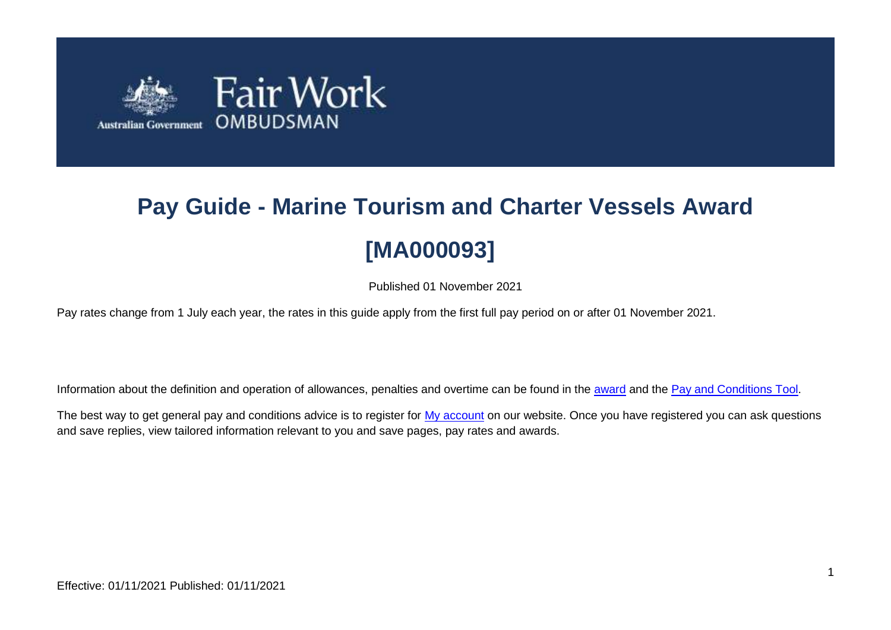

# **Pay Guide - Marine Tourism and Charter Vessels Award [MA000093]**

Published 01 November 2021

Pay rates change from 1 July each year, the rates in this guide apply from the first full pay period on or after 01 November 2021.

Information about the definition and operation of allowances, penalties and overtime can be found in the [award](https://www.fairwork.gov.au/awards-and-agreements/awards/list-of-awards) and the [Pay and Conditions Tool.](https://calculate.fairwork.gov.au/)

The best way to get general pay and conditions advice is to register for [My account](https://www.fairwork.gov.au/my-account/registerpage.aspx) on our website. Once you have registered you can ask questions and save replies, view tailored information relevant to you and save pages, pay rates and awards.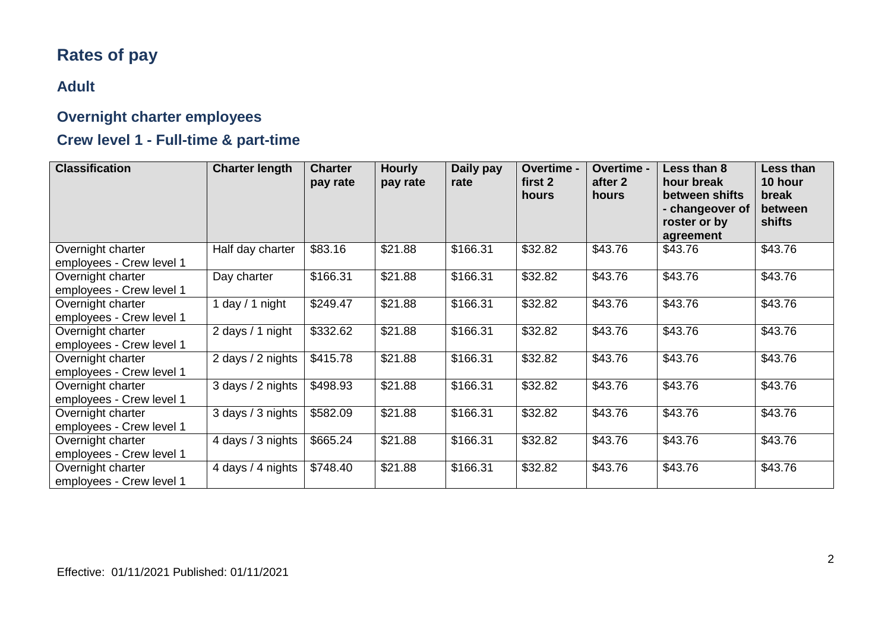## **Rates of pay**

#### **Adult**

#### **Overnight charter employees**

#### **Crew level 1 - Full-time & part-time**

| <b>Classification</b>                         | <b>Charter length</b> | <b>Charter</b><br>pay rate | <b>Hourly</b><br>pay rate | Daily pay<br>rate | <b>Overtime -</b><br>first 2<br>hours | <b>Overtime -</b><br>after 2<br>hours | Less than 8<br>hour break<br>between shifts<br>- changeover of<br>roster or by<br>agreement | <b>Less than</b><br>10 hour<br>break<br>between<br>shifts |
|-----------------------------------------------|-----------------------|----------------------------|---------------------------|-------------------|---------------------------------------|---------------------------------------|---------------------------------------------------------------------------------------------|-----------------------------------------------------------|
| Overnight charter<br>employees - Crew level 1 | Half day charter      | \$83.16                    | \$21.88                   | \$166.31          | \$32.82                               | \$43.76                               | \$43.76                                                                                     | \$43.76                                                   |
| Overnight charter<br>employees - Crew level 1 | Day charter           | \$166.31                   | \$21.88                   | \$166.31          | \$32.82                               | \$43.76                               | \$43.76                                                                                     | \$43.76                                                   |
| Overnight charter<br>employees - Crew level 1 | day / 1 night         | \$249.47                   | \$21.88                   | \$166.31          | \$32.82                               | \$43.76                               | \$43.76                                                                                     | \$43.76                                                   |
| Overnight charter<br>employees - Crew level 1 | 2 days / 1 night      | \$332.62                   | \$21.88                   | \$166.31          | \$32.82                               | \$43.76                               | \$43.76                                                                                     | \$43.76                                                   |
| Overnight charter<br>employees - Crew level 1 | 2 days / 2 nights     | \$415.78                   | \$21.88                   | \$166.31          | \$32.82                               | \$43.76                               | \$43.76                                                                                     | \$43.76                                                   |
| Overnight charter<br>employees - Crew level 1 | 3 days / 2 nights     | \$498.93                   | \$21.88                   | \$166.31          | \$32.82                               | \$43.76                               | \$43.76                                                                                     | \$43.76                                                   |
| Overnight charter<br>employees - Crew level 1 | 3 days / 3 nights     | \$582.09                   | \$21.88                   | \$166.31          | \$32.82                               | \$43.76                               | \$43.76                                                                                     | \$43.76                                                   |
| Overnight charter<br>employees - Crew level 1 | 4 days / 3 nights     | \$665.24                   | \$21.88                   | \$166.31          | \$32.82                               | \$43.76                               | \$43.76                                                                                     | \$43.76                                                   |
| Overnight charter<br>employees - Crew level 1 | 4 days / 4 nights     | \$748.40                   | \$21.88                   | \$166.31          | \$32.82                               | \$43.76                               | \$43.76                                                                                     | \$43.76                                                   |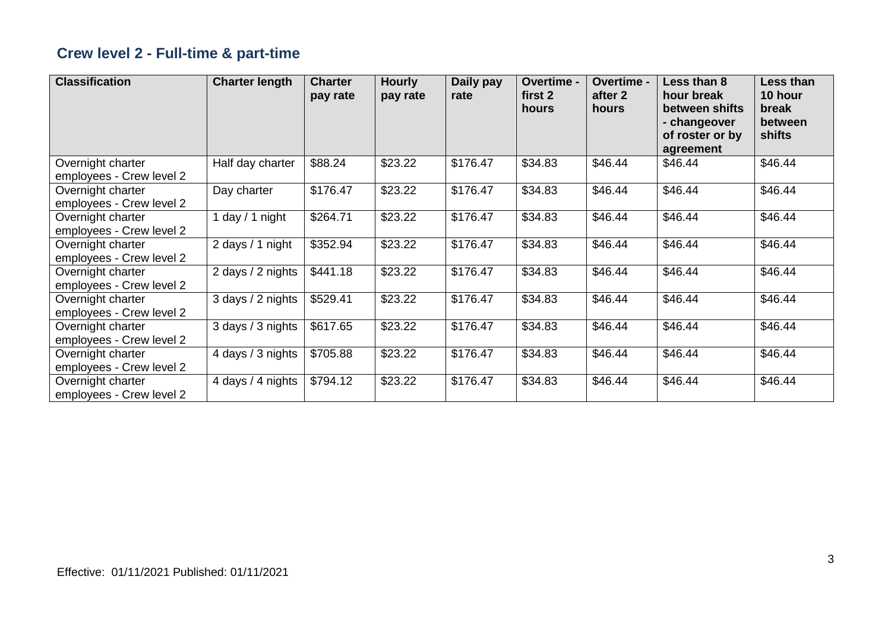## **Crew level 2 - Full-time & part-time**

| <b>Classification</b>                         | <b>Charter length</b> | <b>Charter</b><br>pay rate | <b>Hourly</b><br>pay rate | Daily pay<br>rate | Overtime -<br>first 2<br>hours | Overtime -<br>after 2<br>hours | Less than 8<br>hour break<br>between shifts<br>- changeover<br>of roster or by<br>agreement | Less than<br>10 hour<br>break<br>between<br>shifts |
|-----------------------------------------------|-----------------------|----------------------------|---------------------------|-------------------|--------------------------------|--------------------------------|---------------------------------------------------------------------------------------------|----------------------------------------------------|
| Overnight charter<br>employees - Crew level 2 | Half day charter      | \$88.24                    | \$23.22                   | \$176.47          | \$34.83                        | \$46.44                        | \$46.44                                                                                     | \$46.44                                            |
| Overnight charter<br>employees - Crew level 2 | Day charter           | \$176.47                   | \$23.22                   | \$176.47          | \$34.83                        | \$46.44                        | \$46.44                                                                                     | \$46.44                                            |
| Overnight charter<br>employees - Crew level 2 | 1 day $/$ 1 night     | \$264.71                   | \$23.22                   | \$176.47          | \$34.83                        | \$46.44                        | \$46.44                                                                                     | \$46.44                                            |
| Overnight charter<br>employees - Crew level 2 | 2 days / 1 night      | \$352.94                   | \$23.22                   | \$176.47          | \$34.83                        | \$46.44                        | \$46.44                                                                                     | \$46.44                                            |
| Overnight charter<br>employees - Crew level 2 | 2 days / 2 nights     | \$441.18                   | \$23.22                   | \$176.47          | \$34.83                        | \$46.44                        | \$46.44                                                                                     | \$46.44                                            |
| Overnight charter<br>employees - Crew level 2 | 3 days / 2 nights     | \$529.41                   | \$23.22                   | \$176.47          | \$34.83                        | \$46.44                        | \$46.44                                                                                     | \$46.44                                            |
| Overnight charter<br>employees - Crew level 2 | 3 days / 3 nights     | \$617.65                   | \$23.22                   | \$176.47          | \$34.83                        | \$46.44                        | \$46.44                                                                                     | \$46.44                                            |
| Overnight charter<br>employees - Crew level 2 | 4 days / 3 nights     | \$705.88                   | \$23.22                   | \$176.47          | \$34.83                        | \$46.44                        | \$46.44                                                                                     | \$46.44                                            |
| Overnight charter<br>employees - Crew level 2 | 4 days / 4 nights     | \$794.12                   | \$23.22                   | \$176.47          | \$34.83                        | \$46.44                        | \$46.44                                                                                     | \$46.44                                            |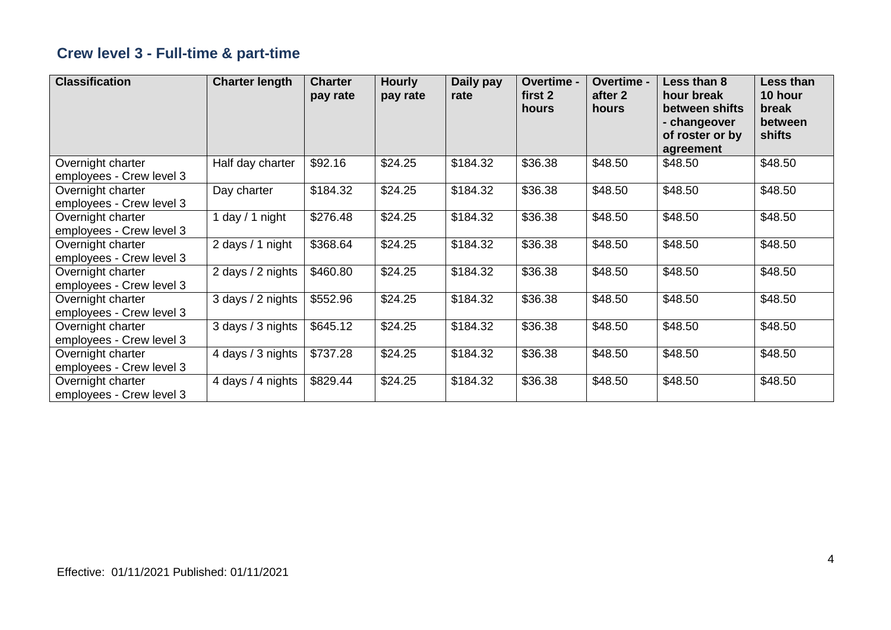## **Crew level 3 - Full-time & part-time**

| <b>Classification</b>                         | <b>Charter length</b> | <b>Charter</b><br>pay rate | <b>Hourly</b><br>pay rate | Daily pay<br>rate | Overtime -<br>first 2<br>hours | Overtime -<br>after 2<br>hours | Less than 8<br>hour break<br>between shifts<br>- changeover<br>of roster or by<br>agreement | Less than<br>10 hour<br>break<br>between<br>shifts |
|-----------------------------------------------|-----------------------|----------------------------|---------------------------|-------------------|--------------------------------|--------------------------------|---------------------------------------------------------------------------------------------|----------------------------------------------------|
| Overnight charter<br>employees - Crew level 3 | Half day charter      | \$92.16                    | \$24.25                   | \$184.32          | \$36.38                        | \$48.50                        | \$48.50                                                                                     | \$48.50                                            |
| Overnight charter<br>employees - Crew level 3 | Day charter           | \$184.32                   | \$24.25                   | \$184.32          | \$36.38                        | \$48.50                        | \$48.50                                                                                     | \$48.50                                            |
| Overnight charter<br>employees - Crew level 3 | 1 day $/$ 1 night     | \$276.48                   | \$24.25                   | \$184.32          | \$36.38                        | \$48.50                        | \$48.50                                                                                     | \$48.50                                            |
| Overnight charter<br>employees - Crew level 3 | 2 days / 1 night      | \$368.64                   | \$24.25                   | \$184.32          | \$36.38                        | \$48.50                        | \$48.50                                                                                     | \$48.50                                            |
| Overnight charter<br>employees - Crew level 3 | 2 days / 2 nights     | \$460.80                   | \$24.25                   | \$184.32          | \$36.38                        | \$48.50                        | \$48.50                                                                                     | \$48.50                                            |
| Overnight charter<br>employees - Crew level 3 | 3 days / 2 nights     | \$552.96                   | \$24.25                   | \$184.32          | \$36.38                        | \$48.50                        | \$48.50                                                                                     | \$48.50                                            |
| Overnight charter<br>employees - Crew level 3 | 3 days / 3 nights     | \$645.12                   | \$24.25                   | \$184.32          | \$36.38                        | \$48.50                        | \$48.50                                                                                     | \$48.50                                            |
| Overnight charter<br>employees - Crew level 3 | 4 days / 3 nights     | \$737.28                   | \$24.25                   | \$184.32          | \$36.38                        | \$48.50                        | \$48.50                                                                                     | \$48.50                                            |
| Overnight charter<br>employees - Crew level 3 | 4 days / 4 nights     | \$829.44                   | \$24.25                   | \$184.32          | \$36.38                        | \$48.50                        | \$48.50                                                                                     | \$48.50                                            |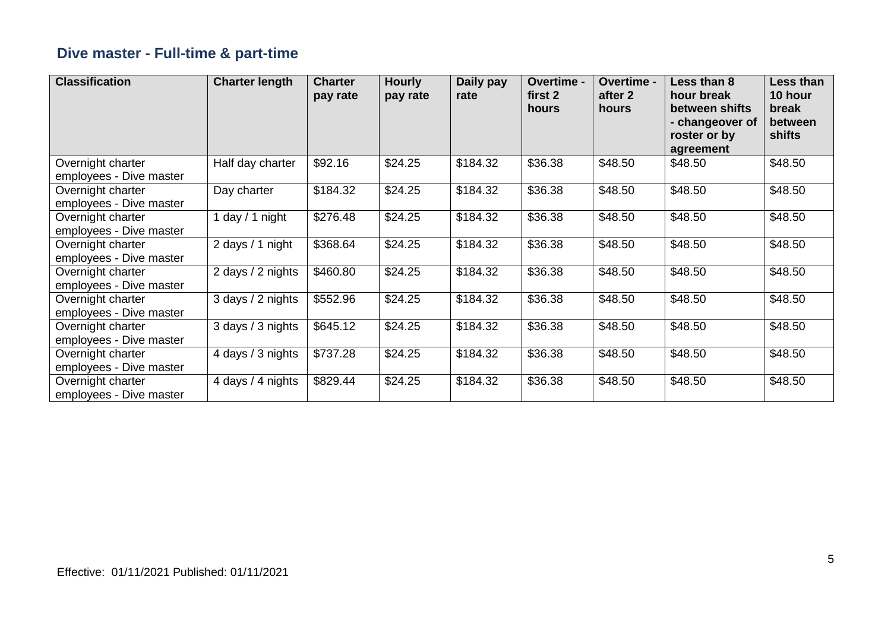## **Dive master - Full-time & part-time**

| <b>Classification</b>                        | <b>Charter length</b> | <b>Charter</b><br>pay rate | <b>Hourly</b><br>pay rate | Daily pay<br>rate | Overtime -<br>first 2<br>hours | <b>Overtime -</b><br>after 2<br>hours | Less than 8<br>hour break<br>between shifts<br>- changeover of<br>roster or by<br>agreement | Less than<br>10 hour<br>break<br>between<br>shifts |
|----------------------------------------------|-----------------------|----------------------------|---------------------------|-------------------|--------------------------------|---------------------------------------|---------------------------------------------------------------------------------------------|----------------------------------------------------|
| Overnight charter<br>employees - Dive master | Half day charter      | \$92.16                    | \$24.25                   | \$184.32          | \$36.38                        | \$48.50                               | \$48.50                                                                                     | \$48.50                                            |
| Overnight charter<br>employees - Dive master | Day charter           | \$184.32                   | \$24.25                   | \$184.32          | \$36.38                        | \$48.50                               | \$48.50                                                                                     | \$48.50                                            |
| Overnight charter<br>employees - Dive master | day / 1 night         | \$276.48                   | \$24.25                   | \$184.32          | \$36.38                        | \$48.50                               | \$48.50                                                                                     | \$48.50                                            |
| Overnight charter<br>employees - Dive master | 2 days / 1 night      | \$368.64                   | \$24.25                   | \$184.32          | \$36.38                        | \$48.50                               | \$48.50                                                                                     | \$48.50                                            |
| Overnight charter<br>employees - Dive master | 2 days / 2 nights     | \$460.80                   | \$24.25                   | \$184.32          | \$36.38                        | \$48.50                               | \$48.50                                                                                     | \$48.50                                            |
| Overnight charter<br>employees - Dive master | 3 days / 2 nights     | \$552.96                   | \$24.25                   | \$184.32          | \$36.38                        | \$48.50                               | \$48.50                                                                                     | \$48.50                                            |
| Overnight charter<br>employees - Dive master | 3 days / 3 nights     | \$645.12                   | \$24.25                   | \$184.32          | \$36.38                        | \$48.50                               | \$48.50                                                                                     | \$48.50                                            |
| Overnight charter<br>employees - Dive master | 4 days / 3 nights     | \$737.28                   | \$24.25                   | \$184.32          | \$36.38                        | \$48.50                               | \$48.50                                                                                     | \$48.50                                            |
| Overnight charter<br>employees - Dive master | 4 days / 4 nights     | \$829.44                   | \$24.25                   | \$184.32          | \$36.38                        | \$48.50                               | \$48.50                                                                                     | \$48.50                                            |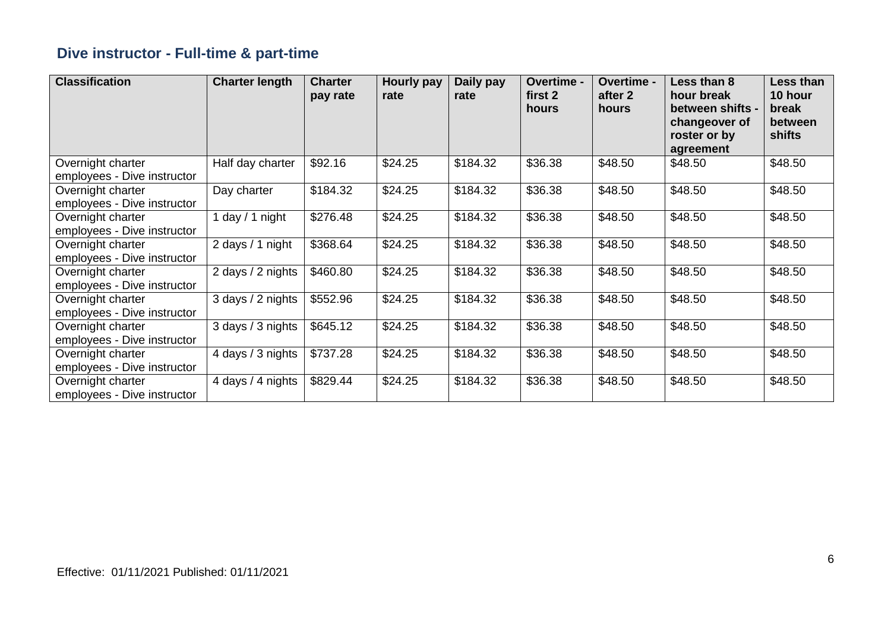## **Dive instructor - Full-time & part-time**

| <b>Classification</b>                            | <b>Charter length</b> | <b>Charter</b><br>pay rate | Hourly pay<br>rate | Daily pay<br>rate | Overtime -<br>first 2<br>hours | Overtime -<br>after 2<br>hours | Less than 8<br>hour break<br>between shifts -<br>changeover of<br>roster or by<br>agreement | Less than<br>10 hour<br>break<br>between<br>shifts |
|--------------------------------------------------|-----------------------|----------------------------|--------------------|-------------------|--------------------------------|--------------------------------|---------------------------------------------------------------------------------------------|----------------------------------------------------|
| Overnight charter<br>employees - Dive instructor | Half day charter      | \$92.16                    | \$24.25            | \$184.32          | \$36.38                        | \$48.50                        | \$48.50                                                                                     | \$48.50                                            |
| Overnight charter<br>employees - Dive instructor | Day charter           | \$184.32                   | \$24.25            | \$184.32          | \$36.38                        | \$48.50                        | \$48.50                                                                                     | \$48.50                                            |
| Overnight charter<br>employees - Dive instructor | 1 day / 1 night       | \$276.48                   | \$24.25            | \$184.32          | \$36.38                        | \$48.50                        | \$48.50                                                                                     | \$48.50                                            |
| Overnight charter<br>employees - Dive instructor | 2 days / 1 night      | \$368.64                   | \$24.25            | \$184.32          | \$36.38                        | \$48.50                        | \$48.50                                                                                     | \$48.50                                            |
| Overnight charter<br>employees - Dive instructor | 2 days / 2 nights     | \$460.80                   | \$24.25            | \$184.32          | \$36.38                        | \$48.50                        | \$48.50                                                                                     | \$48.50                                            |
| Overnight charter<br>employees - Dive instructor | 3 days / 2 nights     | \$552.96                   | \$24.25            | \$184.32          | \$36.38                        | \$48.50                        | \$48.50                                                                                     | \$48.50                                            |
| Overnight charter<br>employees - Dive instructor | 3 days / 3 nights     | \$645.12                   | \$24.25            | \$184.32          | \$36.38                        | \$48.50                        | \$48.50                                                                                     | \$48.50                                            |
| Overnight charter<br>employees - Dive instructor | 4 days / 3 nights     | \$737.28                   | \$24.25            | \$184.32          | \$36.38                        | \$48.50                        | \$48.50                                                                                     | \$48.50                                            |
| Overnight charter<br>employees - Dive instructor | 4 days / 4 nights     | \$829.44                   | \$24.25            | \$184.32          | \$36.38                        | \$48.50                        | \$48.50                                                                                     | \$48.50                                            |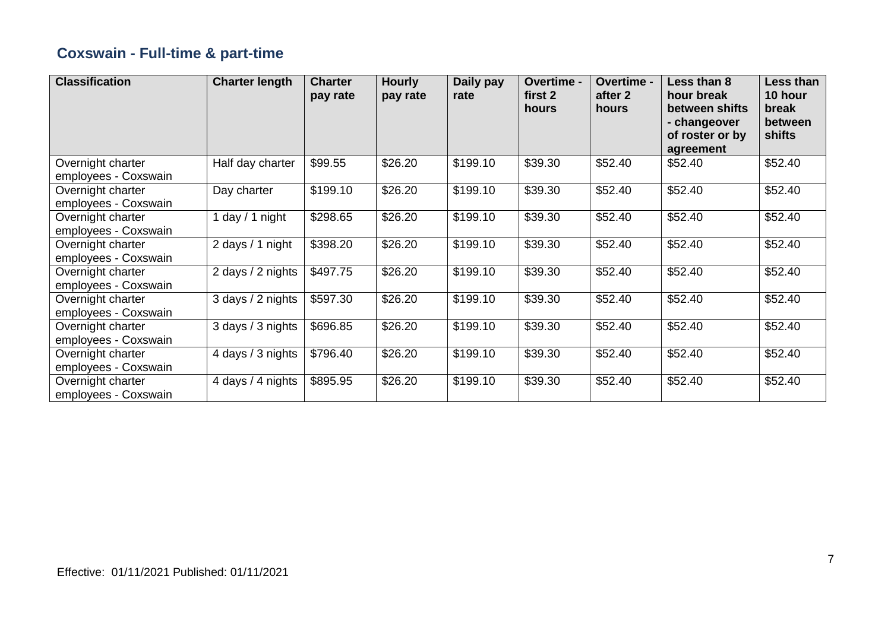## **Coxswain - Full-time & part-time**

| <b>Classification</b>                     | <b>Charter length</b> | <b>Charter</b><br>pay rate | <b>Hourly</b><br>pay rate | Daily pay<br>rate | Overtime -<br>first 2<br>hours | Overtime -<br>after 2<br>hours | Less than 8<br>hour break<br>between shifts<br>- changeover<br>of roster or by<br>agreement | Less than<br>10 hour<br>break<br>between<br>shifts |
|-------------------------------------------|-----------------------|----------------------------|---------------------------|-------------------|--------------------------------|--------------------------------|---------------------------------------------------------------------------------------------|----------------------------------------------------|
| Overnight charter<br>employees - Coxswain | Half day charter      | \$99.55                    | \$26.20                   | \$199.10          | \$39.30                        | \$52.40                        | \$52.40                                                                                     | \$52.40                                            |
| Overnight charter<br>employees - Coxswain | Day charter           | \$199.10                   | \$26.20                   | \$199.10          | \$39.30                        | \$52.40                        | \$52.40                                                                                     | \$52.40                                            |
| Overnight charter<br>employees - Coxswain | day / 1 night         | \$298.65                   | \$26.20                   | \$199.10          | \$39.30                        | \$52.40                        | \$52.40                                                                                     | \$52.40                                            |
| Overnight charter<br>employees - Coxswain | 2 days / 1 night      | \$398.20                   | \$26.20                   | \$199.10          | \$39.30                        | \$52.40                        | \$52.40                                                                                     | \$52.40                                            |
| Overnight charter<br>employees - Coxswain | 2 days / 2 nights     | \$497.75                   | \$26.20                   | \$199.10          | \$39.30                        | \$52.40                        | \$52.40                                                                                     | \$52.40                                            |
| Overnight charter<br>employees - Coxswain | 3 days / 2 nights     | \$597.30                   | \$26.20                   | \$199.10          | \$39.30                        | \$52.40                        | \$52.40                                                                                     | \$52.40                                            |
| Overnight charter<br>employees - Coxswain | 3 days / 3 nights     | \$696.85                   | \$26.20                   | \$199.10          | \$39.30                        | \$52.40                        | \$52.40                                                                                     | \$52.40                                            |
| Overnight charter<br>employees - Coxswain | 4 days / 3 nights     | \$796.40                   | \$26.20                   | \$199.10          | \$39.30                        | \$52.40                        | \$52.40                                                                                     | \$52.40                                            |
| Overnight charter<br>employees - Coxswain | 4 days / 4 nights     | \$895.95                   | \$26.20                   | \$199.10          | \$39.30                        | \$52.40                        | \$52.40                                                                                     | \$52.40                                            |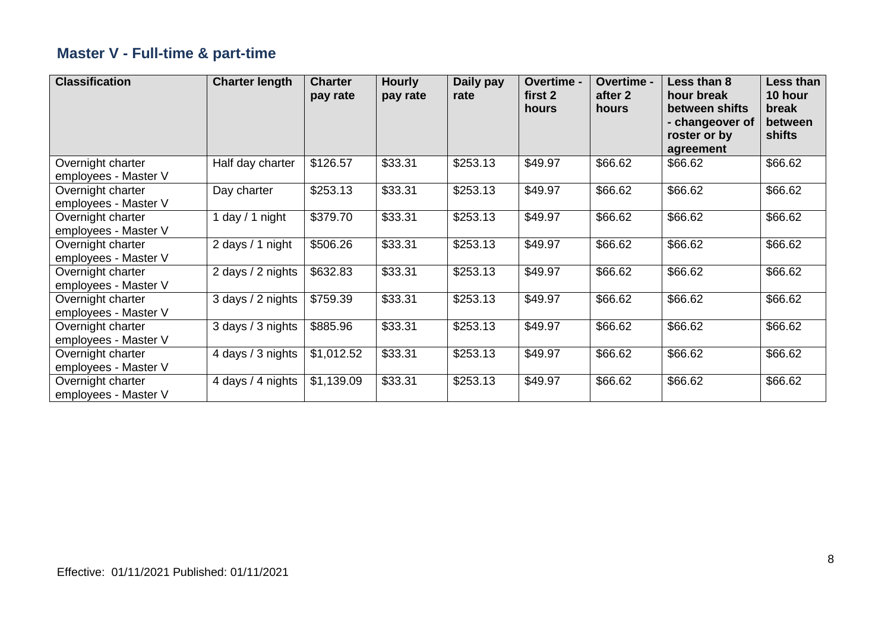## **Master V - Full-time & part-time**

| <b>Classification</b>                     | <b>Charter length</b> | <b>Charter</b><br>pay rate | <b>Hourly</b><br>pay rate | Daily pay<br>rate | Overtime -<br>first 2<br>hours | Overtime -<br>after 2<br>hours | Less than 8<br>hour break<br>between shifts<br>- changeover of<br>roster or by<br>agreement | Less than<br>10 hour<br>break<br>between<br>shifts |
|-------------------------------------------|-----------------------|----------------------------|---------------------------|-------------------|--------------------------------|--------------------------------|---------------------------------------------------------------------------------------------|----------------------------------------------------|
| Overnight charter<br>employees - Master V | Half day charter      | \$126.57                   | \$33.31                   | \$253.13          | \$49.97                        | \$66.62                        | \$66.62                                                                                     | \$66.62                                            |
| Overnight charter<br>employees - Master V | Day charter           | \$253.13                   | \$33.31                   | \$253.13          | \$49.97                        | \$66.62                        | \$66.62                                                                                     | \$66.62                                            |
| Overnight charter<br>employees - Master V | 1 day / 1 night       | \$379.70                   | \$33.31                   | \$253.13          | \$49.97                        | \$66.62                        | \$66.62                                                                                     | \$66.62                                            |
| Overnight charter<br>employees - Master V | 2 days / 1 night      | \$506.26                   | \$33.31                   | \$253.13          | \$49.97                        | \$66.62                        | \$66.62                                                                                     | \$66.62                                            |
| Overnight charter<br>employees - Master V | 2 days / 2 nights     | \$632.83                   | \$33.31                   | \$253.13          | \$49.97                        | \$66.62                        | \$66.62                                                                                     | \$66.62                                            |
| Overnight charter<br>employees - Master V | 3 days / 2 nights     | \$759.39                   | \$33.31                   | \$253.13          | \$49.97                        | \$66.62                        | \$66.62                                                                                     | \$66.62                                            |
| Overnight charter<br>employees - Master V | 3 days / 3 nights     | \$885.96                   | \$33.31                   | \$253.13          | \$49.97                        | \$66.62                        | \$66.62                                                                                     | \$66.62                                            |
| Overnight charter<br>employees - Master V | 4 days / 3 nights     | \$1,012.52                 | \$33.31                   | \$253.13          | \$49.97                        | \$66.62                        | \$66.62                                                                                     | \$66.62                                            |
| Overnight charter<br>employees - Master V | 4 days / 4 nights     | \$1,139.09                 | \$33.31                   | \$253.13          | \$49.97                        | \$66.62                        | \$66.62                                                                                     | \$66.62                                            |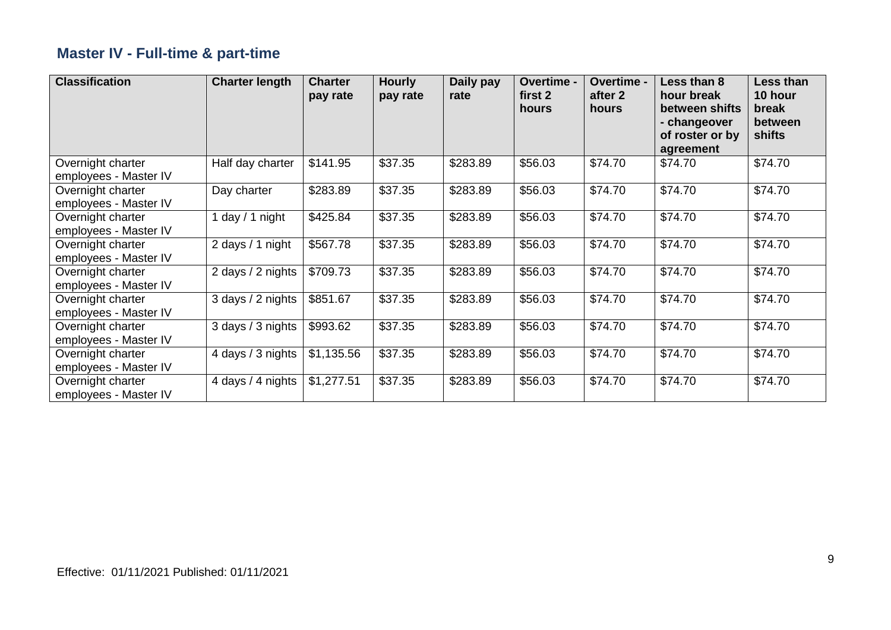## **Master IV - Full-time & part-time**

| <b>Classification</b>                      | <b>Charter length</b> | <b>Charter</b><br>pay rate | <b>Hourly</b><br>pay rate | Daily pay<br>rate | Overtime -<br>first 2<br>hours | Overtime -<br>after 2<br>hours | Less than 8<br>hour break<br>between shifts<br>- changeover<br>of roster or by<br>agreement | Less than<br>10 hour<br>break<br>between<br>shifts |
|--------------------------------------------|-----------------------|----------------------------|---------------------------|-------------------|--------------------------------|--------------------------------|---------------------------------------------------------------------------------------------|----------------------------------------------------|
| Overnight charter<br>employees - Master IV | Half day charter      | \$141.95                   | \$37.35                   | \$283.89          | \$56.03                        | \$74.70                        | \$74.70                                                                                     | \$74.70                                            |
| Overnight charter<br>employees - Master IV | Day charter           | \$283.89                   | \$37.35                   | \$283.89          | \$56.03                        | \$74.70                        | \$74.70                                                                                     | \$74.70                                            |
| Overnight charter<br>employees - Master IV | 1 day / 1 night       | \$425.84                   | \$37.35                   | \$283.89          | \$56.03                        | \$74.70                        | \$74.70                                                                                     | \$74.70                                            |
| Overnight charter<br>employees - Master IV | 2 days / 1 night      | \$567.78                   | \$37.35                   | \$283.89          | \$56.03                        | \$74.70                        | \$74.70                                                                                     | \$74.70                                            |
| Overnight charter<br>employees - Master IV | 2 days / 2 nights     | \$709.73                   | \$37.35                   | \$283.89          | \$56.03                        | \$74.70                        | \$74.70                                                                                     | \$74.70                                            |
| Overnight charter<br>employees - Master IV | 3 days / 2 nights     | \$851.67                   | \$37.35                   | \$283.89          | \$56.03                        | \$74.70                        | \$74.70                                                                                     | \$74.70                                            |
| Overnight charter<br>employees - Master IV | 3 days / 3 nights     | \$993.62                   | \$37.35                   | \$283.89          | \$56.03                        | \$74.70                        | \$74.70                                                                                     | \$74.70                                            |
| Overnight charter<br>employees - Master IV | 4 days / 3 nights     | \$1,135.56                 | \$37.35                   | \$283.89          | \$56.03                        | \$74.70                        | \$74.70                                                                                     | \$74.70                                            |
| Overnight charter<br>employees - Master IV | 4 days / 4 nights     | \$1,277.51                 | \$37.35                   | \$283.89          | \$56.03                        | \$74.70                        | \$74.70                                                                                     | \$74.70                                            |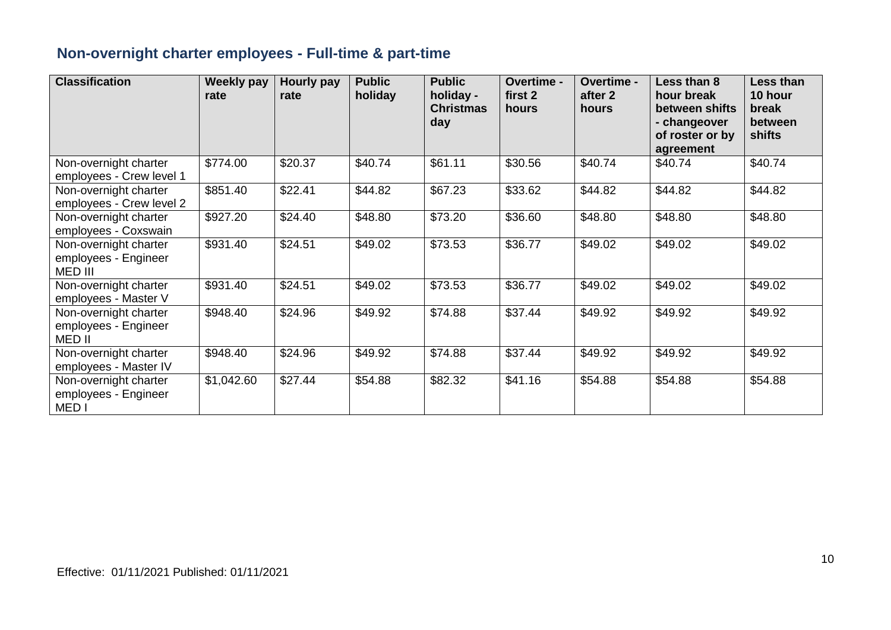## **Non-overnight charter employees - Full-time & part-time**

| <b>Classification</b>                                             | Weekly pay<br>rate | <b>Hourly pay</b><br>rate | <b>Public</b><br>holiday | <b>Public</b><br>holiday -<br><b>Christmas</b><br>day | Overtime -<br>first 2<br>hours | <b>Overtime -</b><br>after 2<br>hours | Less than 8<br>hour break<br>between shifts<br>- changeover<br>of roster or by<br>agreement | Less than<br>10 hour<br>break<br>between<br>shifts |
|-------------------------------------------------------------------|--------------------|---------------------------|--------------------------|-------------------------------------------------------|--------------------------------|---------------------------------------|---------------------------------------------------------------------------------------------|----------------------------------------------------|
| Non-overnight charter<br>employees - Crew level 1                 | \$774.00           | \$20.37                   | \$40.74                  | \$61.11                                               | \$30.56                        | \$40.74                               | \$40.74                                                                                     | \$40.74                                            |
| Non-overnight charter<br>employees - Crew level 2                 | \$851.40           | \$22.41                   | \$44.82                  | \$67.23                                               | \$33.62                        | \$44.82                               | \$44.82                                                                                     | \$44.82                                            |
| Non-overnight charter<br>employees - Coxswain                     | \$927.20           | \$24.40                   | \$48.80                  | \$73.20                                               | \$36.60                        | \$48.80                               | \$48.80                                                                                     | \$48.80                                            |
| Non-overnight charter<br>employees - Engineer<br>MED III          | \$931.40           | \$24.51                   | \$49.02                  | \$73.53                                               | \$36.77                        | \$49.02                               | \$49.02                                                                                     | \$49.02                                            |
| Non-overnight charter<br>employees - Master V                     | \$931.40           | \$24.51                   | \$49.02                  | \$73.53                                               | \$36.77                        | \$49.02                               | \$49.02                                                                                     | \$49.02                                            |
| Non-overnight charter<br>employees - Engineer<br>MED II           | \$948.40           | \$24.96                   | \$49.92                  | \$74.88                                               | \$37.44                        | \$49.92                               | \$49.92                                                                                     | \$49.92                                            |
| Non-overnight charter<br>employees - Master IV                    | \$948.40           | \$24.96                   | \$49.92                  | \$74.88                                               | \$37.44                        | \$49.92                               | \$49.92                                                                                     | \$49.92                                            |
| Non-overnight charter<br>employees - Engineer<br>MED <sub>I</sub> | \$1,042.60         | \$27.44                   | \$54.88                  | \$82.32                                               | \$41.16                        | \$54.88                               | \$54.88                                                                                     | \$54.88                                            |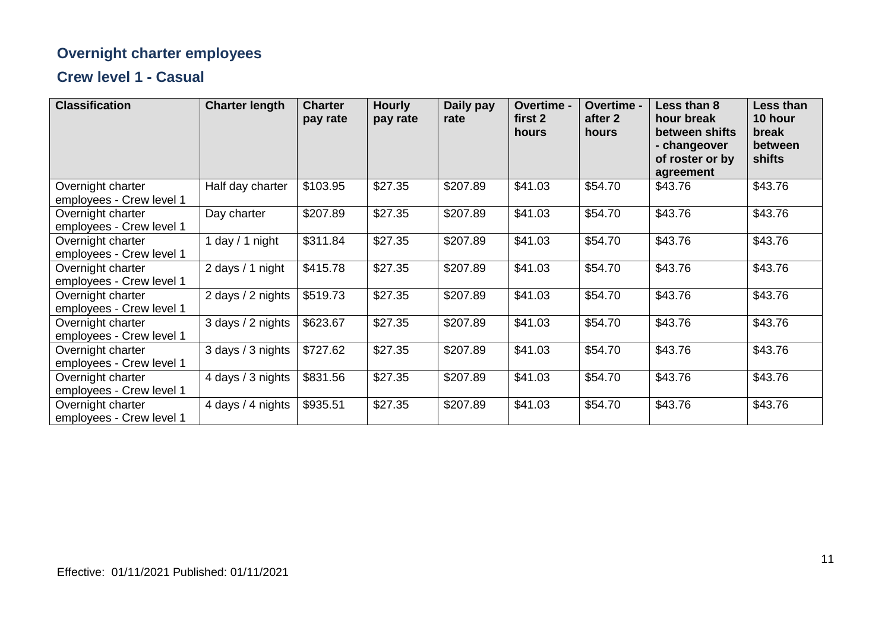## **Overnight charter employees**

#### **Crew level 1 - Casual**

| <b>Classification</b>                         | <b>Charter length</b> | <b>Charter</b><br>pay rate | <b>Hourly</b><br>pay rate | Daily pay<br>rate | Overtime -<br>first 2<br>hours | Overtime -<br>after 2<br>hours | Less than 8<br>hour break<br>between shifts<br>- changeover<br>of roster or by<br>agreement | Less than<br>10 hour<br>break<br>between<br>shifts |
|-----------------------------------------------|-----------------------|----------------------------|---------------------------|-------------------|--------------------------------|--------------------------------|---------------------------------------------------------------------------------------------|----------------------------------------------------|
| Overnight charter<br>employees - Crew level 1 | Half day charter      | \$103.95                   | \$27.35                   | \$207.89          | \$41.03                        | \$54.70                        | \$43.76                                                                                     | \$43.76                                            |
| Overnight charter<br>employees - Crew level 1 | Day charter           | \$207.89                   | \$27.35                   | \$207.89          | \$41.03                        | \$54.70                        | \$43.76                                                                                     | \$43.76                                            |
| Overnight charter<br>employees - Crew level 1 | 1 day $/$ 1 night     | \$311.84                   | \$27.35                   | \$207.89          | \$41.03                        | \$54.70                        | \$43.76                                                                                     | \$43.76                                            |
| Overnight charter<br>employees - Crew level 1 | 2 days / 1 night      | \$415.78                   | \$27.35                   | \$207.89          | \$41.03                        | \$54.70                        | \$43.76                                                                                     | \$43.76                                            |
| Overnight charter<br>employees - Crew level 1 | 2 days / 2 nights     | \$519.73                   | \$27.35                   | \$207.89          | \$41.03                        | \$54.70                        | \$43.76                                                                                     | \$43.76                                            |
| Overnight charter<br>employees - Crew level 1 | 3 days / 2 nights     | \$623.67                   | \$27.35                   | \$207.89          | \$41.03                        | \$54.70                        | \$43.76                                                                                     | \$43.76                                            |
| Overnight charter<br>employees - Crew level 1 | 3 days / 3 nights     | \$727.62                   | \$27.35                   | \$207.89          | \$41.03                        | \$54.70                        | \$43.76                                                                                     | \$43.76                                            |
| Overnight charter<br>employees - Crew level 1 | 4 days / 3 nights     | \$831.56                   | \$27.35                   | \$207.89          | \$41.03                        | \$54.70                        | \$43.76                                                                                     | \$43.76                                            |
| Overnight charter<br>employees - Crew level 1 | 4 days / 4 nights     | \$935.51                   | \$27.35                   | \$207.89          | \$41.03                        | \$54.70                        | \$43.76                                                                                     | \$43.76                                            |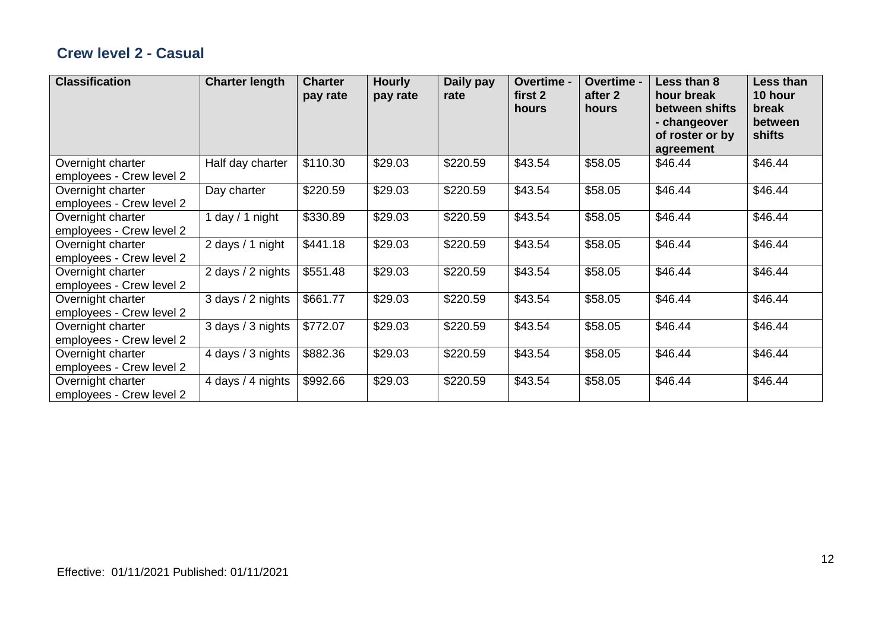#### **Crew level 2 - Casual**

| <b>Classification</b>                         | <b>Charter length</b> | <b>Charter</b><br>pay rate | <b>Hourly</b><br>pay rate | Daily pay<br>rate | Overtime -<br>first 2<br>hours | Overtime -<br>after 2<br>hours | Less than 8<br>hour break<br>between shifts<br>- changeover<br>of roster or by<br>agreement | Less than<br>10 hour<br>break<br>between<br>shifts |
|-----------------------------------------------|-----------------------|----------------------------|---------------------------|-------------------|--------------------------------|--------------------------------|---------------------------------------------------------------------------------------------|----------------------------------------------------|
| Overnight charter<br>employees - Crew level 2 | Half day charter      | \$110.30                   | \$29.03                   | \$220.59          | \$43.54                        | \$58.05                        | \$46.44                                                                                     | \$46.44                                            |
| Overnight charter<br>employees - Crew level 2 | Day charter           | \$220.59                   | \$29.03                   | \$220.59          | \$43.54                        | \$58.05                        | \$46.44                                                                                     | \$46.44                                            |
| Overnight charter<br>employees - Crew level 2 | 1 day $/$ 1 night     | \$330.89                   | \$29.03                   | \$220.59          | \$43.54                        | \$58.05                        | \$46.44                                                                                     | \$46.44                                            |
| Overnight charter<br>employees - Crew level 2 | 2 days / 1 night      | \$441.18                   | \$29.03                   | \$220.59          | \$43.54                        | \$58.05                        | \$46.44                                                                                     | \$46.44                                            |
| Overnight charter<br>employees - Crew level 2 | 2 days / 2 nights     | \$551.48                   | \$29.03                   | \$220.59          | \$43.54                        | \$58.05                        | \$46.44                                                                                     | \$46.44                                            |
| Overnight charter<br>employees - Crew level 2 | 3 days / 2 nights     | \$661.77                   | \$29.03                   | \$220.59          | \$43.54                        | \$58.05                        | \$46.44                                                                                     | \$46.44                                            |
| Overnight charter<br>employees - Crew level 2 | 3 days / 3 nights     | \$772.07                   | \$29.03                   | \$220.59          | \$43.54                        | \$58.05                        | \$46.44                                                                                     | \$46.44                                            |
| Overnight charter<br>employees - Crew level 2 | 4 days / 3 nights     | \$882.36                   | \$29.03                   | \$220.59          | \$43.54                        | \$58.05                        | \$46.44                                                                                     | \$46.44                                            |
| Overnight charter<br>employees - Crew level 2 | 4 days / 4 nights     | \$992.66                   | \$29.03                   | \$220.59          | \$43.54                        | \$58.05                        | \$46.44                                                                                     | \$46.44                                            |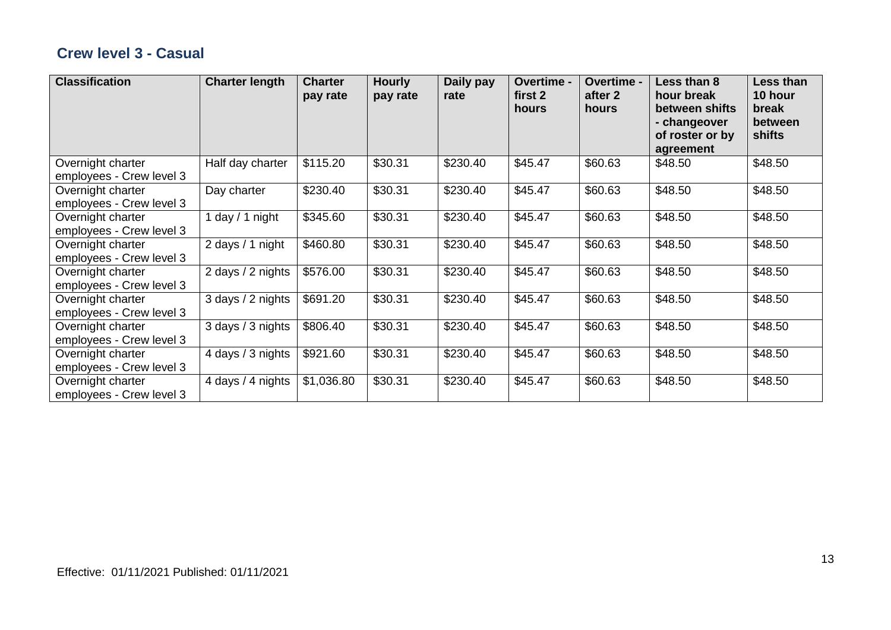#### **Crew level 3 - Casual**

| <b>Classification</b>                         | <b>Charter length</b> | <b>Charter</b><br>pay rate | <b>Hourly</b><br>pay rate | Daily pay<br>rate | Overtime -<br>first 2<br>hours | Overtime -<br>after 2<br>hours | Less than 8<br>hour break<br>between shifts<br>- changeover<br>of roster or by<br>agreement | Less than<br>10 hour<br>break<br>between<br>shifts |
|-----------------------------------------------|-----------------------|----------------------------|---------------------------|-------------------|--------------------------------|--------------------------------|---------------------------------------------------------------------------------------------|----------------------------------------------------|
| Overnight charter<br>employees - Crew level 3 | Half day charter      | \$115.20                   | \$30.31                   | \$230.40          | \$45.47                        | \$60.63                        | \$48.50                                                                                     | \$48.50                                            |
| Overnight charter<br>employees - Crew level 3 | Day charter           | \$230.40                   | \$30.31                   | \$230.40          | \$45.47                        | \$60.63                        | \$48.50                                                                                     | \$48.50                                            |
| Overnight charter<br>employees - Crew level 3 | 1 day $/$ 1 night     | \$345.60                   | \$30.31                   | \$230.40          | \$45.47                        | \$60.63                        | \$48.50                                                                                     | \$48.50                                            |
| Overnight charter<br>employees - Crew level 3 | 2 days / 1 night      | \$460.80                   | \$30.31                   | \$230.40          | \$45.47                        | \$60.63                        | \$48.50                                                                                     | \$48.50                                            |
| Overnight charter<br>employees - Crew level 3 | 2 days / 2 nights     | \$576.00                   | \$30.31                   | \$230.40          | \$45.47                        | \$60.63                        | \$48.50                                                                                     | \$48.50                                            |
| Overnight charter<br>employees - Crew level 3 | 3 days / 2 nights     | \$691.20                   | \$30.31                   | \$230.40          | \$45.47                        | \$60.63                        | \$48.50                                                                                     | \$48.50                                            |
| Overnight charter<br>employees - Crew level 3 | 3 days / 3 nights     | \$806.40                   | \$30.31                   | \$230.40          | \$45.47                        | \$60.63                        | \$48.50                                                                                     | \$48.50                                            |
| Overnight charter<br>employees - Crew level 3 | 4 days / 3 nights     | \$921.60                   | \$30.31                   | \$230.40          | \$45.47                        | \$60.63                        | \$48.50                                                                                     | \$48.50                                            |
| Overnight charter<br>employees - Crew level 3 | 4 days / 4 nights     | \$1,036.80                 | \$30.31                   | \$230.40          | \$45.47                        | \$60.63                        | \$48.50                                                                                     | \$48.50                                            |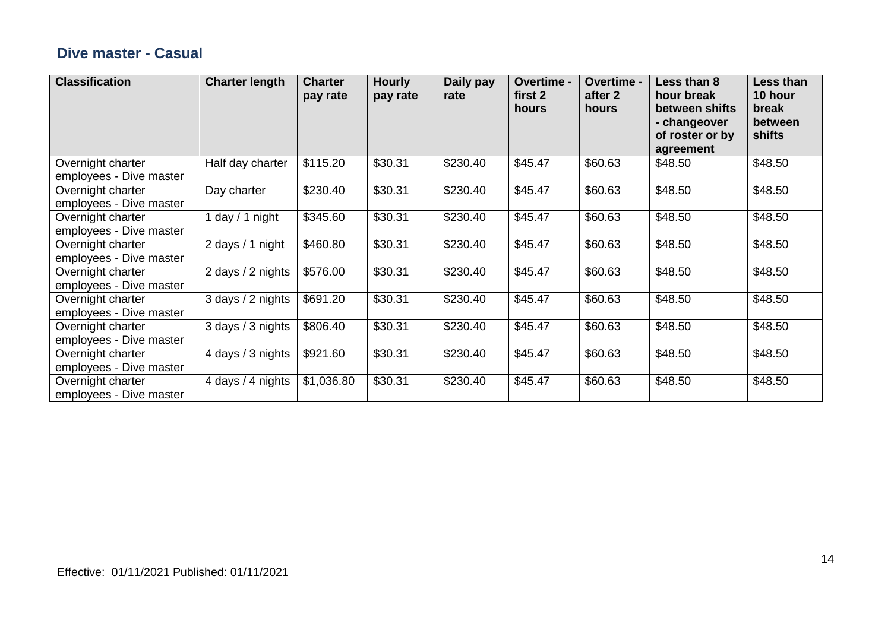#### **Dive master - Casual**

| <b>Classification</b>                        | <b>Charter length</b> | <b>Charter</b><br>pay rate | <b>Hourly</b><br>pay rate | Daily pay<br>rate | Overtime -<br>first 2<br>hours | Overtime -<br>after 2<br>hours | Less than 8<br>hour break<br>between shifts<br>- changeover<br>of roster or by<br>agreement | Less than<br>10 hour<br>break<br>between<br>shifts |
|----------------------------------------------|-----------------------|----------------------------|---------------------------|-------------------|--------------------------------|--------------------------------|---------------------------------------------------------------------------------------------|----------------------------------------------------|
| Overnight charter<br>employees - Dive master | Half day charter      | \$115.20                   | \$30.31                   | \$230.40          | \$45.47                        | \$60.63                        | \$48.50                                                                                     | \$48.50                                            |
| Overnight charter<br>employees - Dive master | Day charter           | \$230.40                   | \$30.31                   | \$230.40          | \$45.47                        | \$60.63                        | \$48.50                                                                                     | \$48.50                                            |
| Overnight charter<br>employees - Dive master | 1 day / 1 night       | \$345.60                   | \$30.31                   | \$230.40          | \$45.47                        | \$60.63                        | \$48.50                                                                                     | \$48.50                                            |
| Overnight charter<br>employees - Dive master | 2 days / 1 night      | \$460.80                   | \$30.31                   | \$230.40          | \$45.47                        | \$60.63                        | \$48.50                                                                                     | \$48.50                                            |
| Overnight charter<br>employees - Dive master | 2 days / 2 nights     | \$576.00                   | \$30.31                   | \$230.40          | \$45.47                        | \$60.63                        | \$48.50                                                                                     | \$48.50                                            |
| Overnight charter<br>employees - Dive master | 3 days / 2 nights     | \$691.20                   | \$30.31                   | \$230.40          | \$45.47                        | \$60.63                        | \$48.50                                                                                     | \$48.50                                            |
| Overnight charter<br>employees - Dive master | 3 days / 3 nights     | \$806.40                   | \$30.31                   | \$230.40          | \$45.47                        | \$60.63                        | \$48.50                                                                                     | \$48.50                                            |
| Overnight charter<br>employees - Dive master | 4 days / 3 nights     | \$921.60                   | \$30.31                   | \$230.40          | \$45.47                        | \$60.63                        | \$48.50                                                                                     | \$48.50                                            |
| Overnight charter<br>employees - Dive master | 4 days / 4 nights     | \$1,036.80                 | \$30.31                   | \$230.40          | \$45.47                        | \$60.63                        | \$48.50                                                                                     | \$48.50                                            |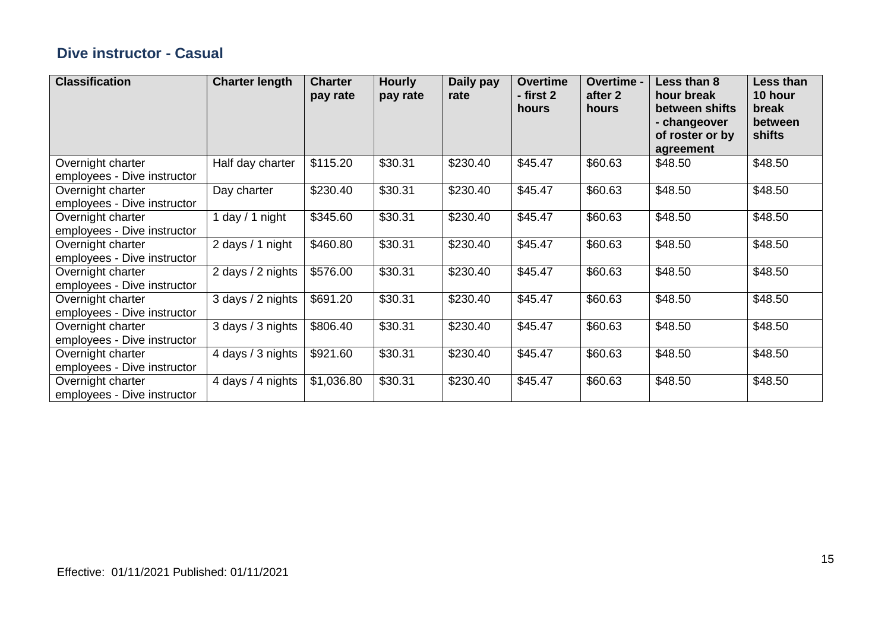#### **Dive instructor - Casual**

| <b>Classification</b>                            | <b>Charter length</b> | <b>Charter</b><br>pay rate | <b>Hourly</b><br>pay rate | Daily pay<br>rate | <b>Overtime</b><br>- first 2<br>hours | Overtime -<br>after 2<br>hours | Less than 8<br>hour break<br>between shifts<br>- changeover<br>of roster or by<br>agreement | Less than<br>10 hour<br>break<br>between<br>shifts |
|--------------------------------------------------|-----------------------|----------------------------|---------------------------|-------------------|---------------------------------------|--------------------------------|---------------------------------------------------------------------------------------------|----------------------------------------------------|
| Overnight charter<br>employees - Dive instructor | Half day charter      | \$115.20                   | \$30.31                   | \$230.40          | \$45.47                               | \$60.63                        | \$48.50                                                                                     | \$48.50                                            |
| Overnight charter<br>employees - Dive instructor | Day charter           | \$230.40                   | \$30.31                   | \$230.40          | \$45.47                               | \$60.63                        | \$48.50                                                                                     | \$48.50                                            |
| Overnight charter<br>employees - Dive instructor | day $/ 1$ night       | \$345.60                   | \$30.31                   | \$230.40          | \$45.47                               | \$60.63                        | \$48.50                                                                                     | \$48.50                                            |
| Overnight charter<br>employees - Dive instructor | 2 days / 1 night      | \$460.80                   | \$30.31                   | \$230.40          | \$45.47                               | \$60.63                        | \$48.50                                                                                     | \$48.50                                            |
| Overnight charter<br>employees - Dive instructor | 2 days / 2 nights     | \$576.00                   | \$30.31                   | \$230.40          | \$45.47                               | \$60.63                        | \$48.50                                                                                     | \$48.50                                            |
| Overnight charter<br>employees - Dive instructor | 3 days / 2 nights     | \$691.20                   | \$30.31                   | \$230.40          | \$45.47                               | \$60.63                        | \$48.50                                                                                     | \$48.50                                            |
| Overnight charter<br>employees - Dive instructor | 3 days / 3 nights     | \$806.40                   | \$30.31                   | \$230.40          | \$45.47                               | \$60.63                        | \$48.50                                                                                     | \$48.50                                            |
| Overnight charter<br>employees - Dive instructor | 4 days / 3 nights     | \$921.60                   | \$30.31                   | \$230.40          | \$45.47                               | \$60.63                        | \$48.50                                                                                     | \$48.50                                            |
| Overnight charter<br>employees - Dive instructor | 4 days / 4 nights     | \$1,036.80                 | \$30.31                   | \$230.40          | \$45.47                               | \$60.63                        | \$48.50                                                                                     | \$48.50                                            |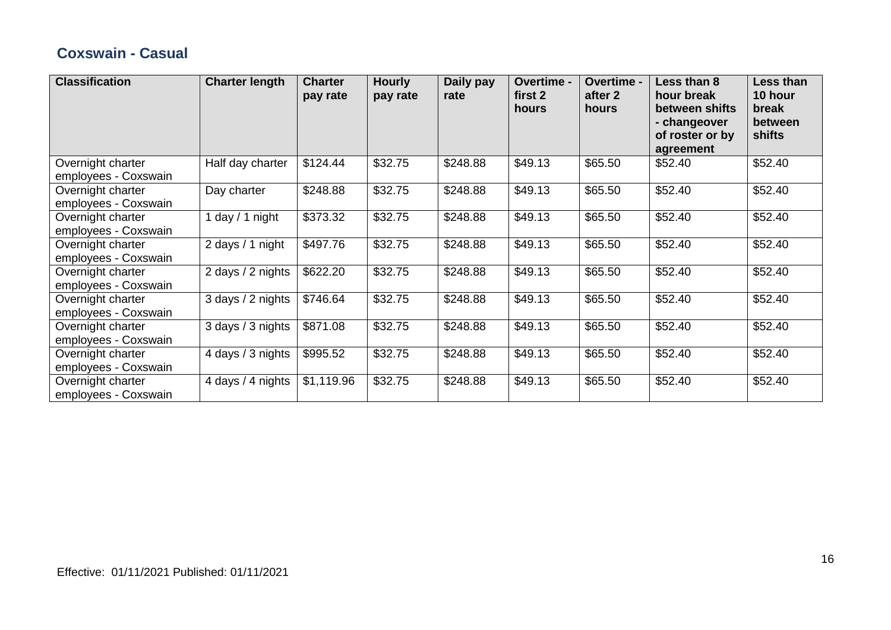#### **Coxswain - Casual**

| <b>Classification</b>                     | <b>Charter length</b> | <b>Charter</b><br>pay rate | <b>Hourly</b><br>pay rate | Daily pay<br>rate | Overtime -<br>first 2<br>hours | Overtime -<br>after 2<br>hours | Less than 8<br>hour break<br>between shifts<br>- changeover<br>of roster or by<br>agreement | Less than<br>10 hour<br>break<br>between<br>shifts |
|-------------------------------------------|-----------------------|----------------------------|---------------------------|-------------------|--------------------------------|--------------------------------|---------------------------------------------------------------------------------------------|----------------------------------------------------|
| Overnight charter<br>employees - Coxswain | Half day charter      | \$124.44                   | \$32.75                   | \$248.88          | \$49.13                        | \$65.50                        | \$52.40                                                                                     | \$52.40                                            |
| Overnight charter<br>employees - Coxswain | Day charter           | \$248.88                   | \$32.75                   | \$248.88          | \$49.13                        | \$65.50                        | \$52.40                                                                                     | \$52.40                                            |
| Overnight charter<br>employees - Coxswain | $day / 1$ night       | \$373.32                   | \$32.75                   | \$248.88          | \$49.13                        | \$65.50                        | \$52.40                                                                                     | \$52.40                                            |
| Overnight charter<br>employees - Coxswain | 2 days / 1 night      | \$497.76                   | \$32.75                   | \$248.88          | \$49.13                        | \$65.50                        | \$52.40                                                                                     | \$52.40                                            |
| Overnight charter<br>employees - Coxswain | 2 days / 2 nights     | \$622.20                   | \$32.75                   | \$248.88          | \$49.13                        | \$65.50                        | \$52.40                                                                                     | \$52.40                                            |
| Overnight charter<br>employees - Coxswain | 3 days / 2 nights     | \$746.64                   | \$32.75                   | \$248.88          | \$49.13                        | \$65.50                        | \$52.40                                                                                     | \$52.40                                            |
| Overnight charter<br>employees - Coxswain | 3 days / 3 nights     | \$871.08                   | \$32.75                   | \$248.88          | \$49.13                        | \$65.50                        | \$52.40                                                                                     | \$52.40                                            |
| Overnight charter<br>employees - Coxswain | 4 days / 3 nights     | \$995.52                   | \$32.75                   | \$248.88          | \$49.13                        | \$65.50                        | \$52.40                                                                                     | \$52.40                                            |
| Overnight charter<br>employees - Coxswain | 4 days / 4 nights     | \$1,119.96                 | \$32.75                   | \$248.88          | \$49.13                        | \$65.50                        | \$52.40                                                                                     | \$52.40                                            |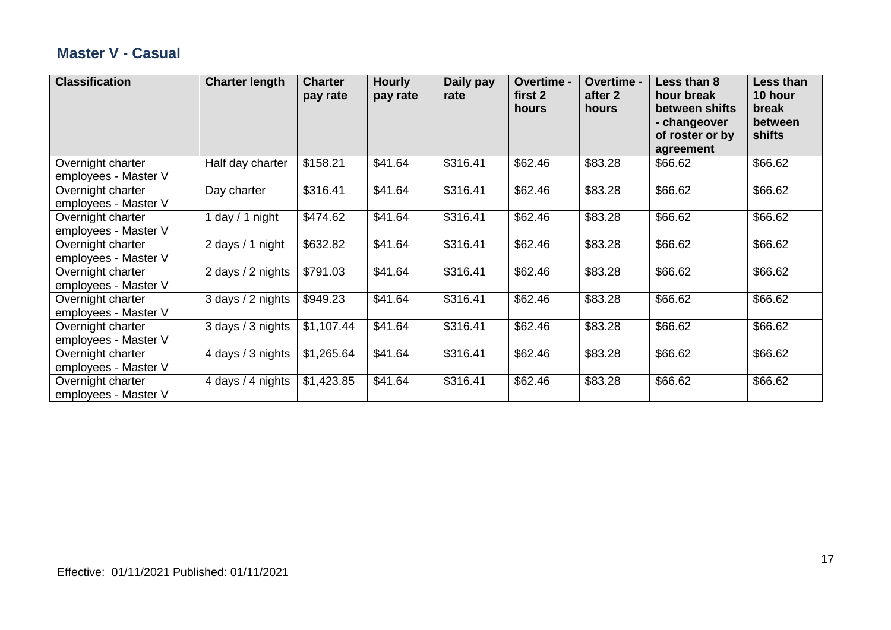#### **Master V - Casual**

| <b>Classification</b>                     | <b>Charter length</b> | <b>Charter</b><br>pay rate | <b>Hourly</b><br>pay rate | Daily pay<br>rate | Overtime -<br>first 2<br>hours | Overtime -<br>after 2<br>hours | Less than 8<br>hour break<br>between shifts<br>- changeover<br>of roster or by<br>agreement | Less than<br>10 hour<br>break<br>between<br><b>shifts</b> |
|-------------------------------------------|-----------------------|----------------------------|---------------------------|-------------------|--------------------------------|--------------------------------|---------------------------------------------------------------------------------------------|-----------------------------------------------------------|
| Overnight charter<br>employees - Master V | Half day charter      | \$158.21                   | \$41.64                   | \$316.41          | \$62.46                        | \$83.28                        | \$66.62                                                                                     | \$66.62                                                   |
| Overnight charter<br>employees - Master V | Day charter           | \$316.41                   | \$41.64                   | \$316.41          | \$62.46                        | \$83.28                        | \$66.62                                                                                     | \$66.62                                                   |
| Overnight charter<br>employees - Master V | 1 day $/$ 1 night     | \$474.62                   | \$41.64                   | \$316.41          | \$62.46                        | \$83.28                        | \$66.62                                                                                     | \$66.62                                                   |
| Overnight charter<br>employees - Master V | 2 days / 1 night      | \$632.82                   | \$41.64                   | \$316.41          | \$62.46                        | \$83.28                        | \$66.62                                                                                     | \$66.62                                                   |
| Overnight charter<br>employees - Master V | 2 days / 2 nights     | \$791.03                   | \$41.64                   | \$316.41          | \$62.46                        | \$83.28                        | \$66.62                                                                                     | \$66.62                                                   |
| Overnight charter<br>employees - Master V | 3 days / 2 nights     | \$949.23                   | \$41.64                   | \$316.41          | \$62.46                        | \$83.28                        | \$66.62                                                                                     | \$66.62                                                   |
| Overnight charter<br>employees - Master V | 3 days / 3 nights     | \$1,107.44                 | \$41.64                   | \$316.41          | \$62.46                        | \$83.28                        | \$66.62                                                                                     | \$66.62                                                   |
| Overnight charter<br>employees - Master V | 4 days / 3 nights     | \$1,265.64                 | \$41.64                   | \$316.41          | \$62.46                        | \$83.28                        | \$66.62                                                                                     | \$66.62                                                   |
| Overnight charter<br>employees - Master V | 4 days / 4 nights     | \$1,423.85                 | \$41.64                   | \$316.41          | \$62.46                        | \$83.28                        | \$66.62                                                                                     | \$66.62                                                   |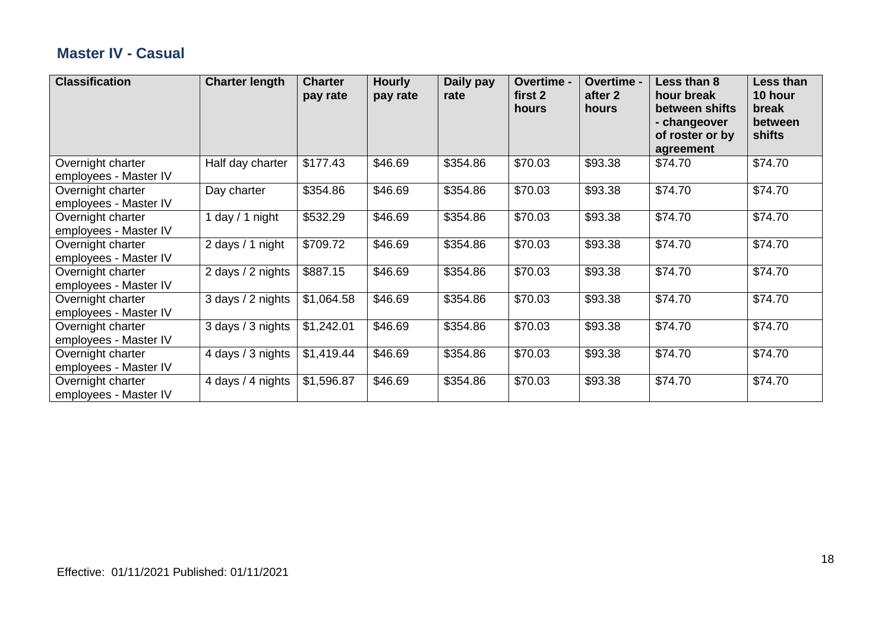#### **Master IV - Casual**

| <b>Classification</b>                      | <b>Charter length</b> | <b>Charter</b><br>pay rate | <b>Hourly</b><br>pay rate | Daily pay<br>rate | Overtime -<br>first 2<br>hours | Overtime -<br>after 2<br>hours | Less than 8<br>hour break<br>between shifts<br>- changeover<br>of roster or by<br>agreement | Less than<br>10 hour<br>break<br>between<br>shifts |
|--------------------------------------------|-----------------------|----------------------------|---------------------------|-------------------|--------------------------------|--------------------------------|---------------------------------------------------------------------------------------------|----------------------------------------------------|
| Overnight charter<br>employees - Master IV | Half day charter      | \$177.43                   | \$46.69                   | \$354.86          | \$70.03                        | \$93.38                        | \$74.70                                                                                     | \$74.70                                            |
| Overnight charter<br>employees - Master IV | Day charter           | \$354.86                   | \$46.69                   | \$354.86          | \$70.03                        | \$93.38                        | \$74.70                                                                                     | \$74.70                                            |
| Overnight charter<br>employees - Master IV | 1 day $/$ 1 night     | \$532.29                   | \$46.69                   | \$354.86          | \$70.03                        | \$93.38                        | \$74.70                                                                                     | \$74.70                                            |
| Overnight charter<br>employees - Master IV | 2 days / 1 night      | \$709.72                   | \$46.69                   | \$354.86          | \$70.03                        | \$93.38                        | \$74.70                                                                                     | \$74.70                                            |
| Overnight charter<br>employees - Master IV | 2 days / 2 nights     | \$887.15                   | \$46.69                   | \$354.86          | \$70.03                        | \$93.38                        | \$74.70                                                                                     | \$74.70                                            |
| Overnight charter<br>employees - Master IV | 3 days / 2 nights     | \$1,064.58                 | \$46.69                   | \$354.86          | \$70.03                        | \$93.38                        | \$74.70                                                                                     | \$74.70                                            |
| Overnight charter<br>employees - Master IV | 3 days / 3 nights     | \$1,242.01                 | \$46.69                   | \$354.86          | \$70.03                        | \$93.38                        | \$74.70                                                                                     | \$74.70                                            |
| Overnight charter<br>employees - Master IV | 4 days / 3 nights     | \$1,419.44                 | \$46.69                   | \$354.86          | \$70.03                        | \$93.38                        | \$74.70                                                                                     | \$74.70                                            |
| Overnight charter<br>employees - Master IV | 4 days / 4 nights     | \$1,596.87                 | \$46.69                   | \$354.86          | \$70.03                        | \$93.38                        | \$74.70                                                                                     | \$74.70                                            |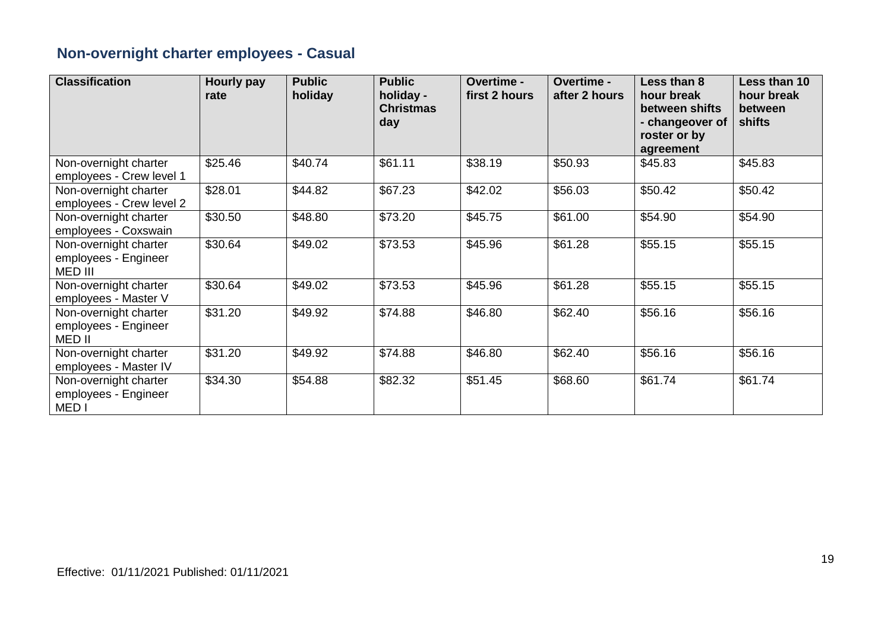## **Non-overnight charter employees - Casual**

| <b>Classification</b>                                             | <b>Hourly pay</b><br>rate | <b>Public</b><br>holiday | <b>Public</b><br>holiday -<br><b>Christmas</b><br>day | <b>Overtime -</b><br>first 2 hours | <b>Overtime -</b><br>after 2 hours | Less than 8<br>hour break<br>between shifts<br>- changeover of<br>roster or by<br>agreement | Less than 10<br>hour break<br>between<br>shifts |
|-------------------------------------------------------------------|---------------------------|--------------------------|-------------------------------------------------------|------------------------------------|------------------------------------|---------------------------------------------------------------------------------------------|-------------------------------------------------|
| Non-overnight charter<br>employees - Crew level 1                 | \$25.46                   | \$40.74                  | \$61.11                                               | \$38.19                            | \$50.93                            | \$45.83                                                                                     | \$45.83                                         |
| Non-overnight charter<br>employees - Crew level 2                 | \$28.01                   | \$44.82                  | \$67.23                                               | \$42.02                            | \$56.03                            | \$50.42                                                                                     | \$50.42                                         |
| Non-overnight charter<br>employees - Coxswain                     | \$30.50                   | \$48.80                  | \$73.20                                               | \$45.75                            | \$61.00                            | \$54.90                                                                                     | \$54.90                                         |
| Non-overnight charter<br>employees - Engineer<br>MED III          | \$30.64                   | \$49.02                  | \$73.53                                               | \$45.96                            | \$61.28                            | \$55.15                                                                                     | \$55.15                                         |
| Non-overnight charter<br>employees - Master V                     | \$30.64                   | \$49.02                  | \$73.53                                               | \$45.96                            | \$61.28                            | \$55.15                                                                                     | \$55.15                                         |
| Non-overnight charter<br>employees - Engineer<br>MED II           | \$31.20                   | \$49.92                  | \$74.88                                               | \$46.80                            | \$62.40                            | \$56.16                                                                                     | \$56.16                                         |
| Non-overnight charter<br>employees - Master IV                    | \$31.20                   | \$49.92                  | \$74.88                                               | \$46.80                            | \$62.40                            | \$56.16                                                                                     | \$56.16                                         |
| Non-overnight charter<br>employees - Engineer<br>MED <sub>I</sub> | \$34.30                   | \$54.88                  | \$82.32                                               | \$51.45                            | \$68.60                            | \$61.74                                                                                     | \$61.74                                         |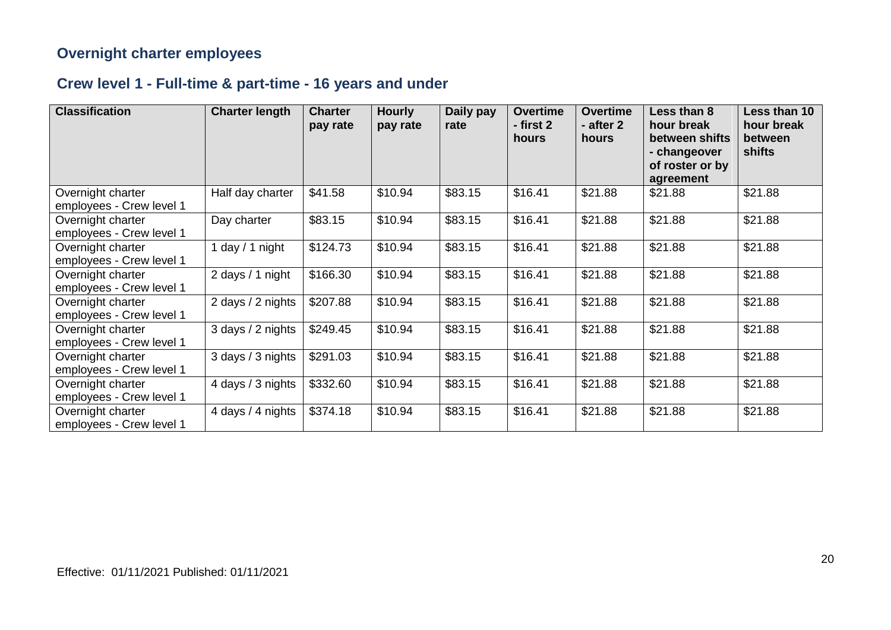#### **Overnight charter employees**

## **Crew level 1 - Full-time & part-time - 16 years and under**

| <b>Classification</b>                         | <b>Charter length</b> | <b>Charter</b><br>pay rate | <b>Hourly</b><br>pay rate | Daily pay<br>rate | <b>Overtime</b><br>- first 2<br>hours | <b>Overtime</b><br>- after 2<br>hours | Less than 8<br>hour break<br>between shifts<br>- changeover<br>of roster or by<br>agreement | Less than 10<br>hour break<br>between<br>shifts |
|-----------------------------------------------|-----------------------|----------------------------|---------------------------|-------------------|---------------------------------------|---------------------------------------|---------------------------------------------------------------------------------------------|-------------------------------------------------|
| Overnight charter<br>employees - Crew level 1 | Half day charter      | \$41.58                    | \$10.94                   | \$83.15           | \$16.41                               | \$21.88                               | \$21.88                                                                                     | \$21.88                                         |
| Overnight charter<br>employees - Crew level 1 | Day charter           | \$83.15                    | \$10.94                   | \$83.15           | \$16.41                               | \$21.88                               | \$21.88                                                                                     | \$21.88                                         |
| Overnight charter<br>employees - Crew level 1 | 1 day $/$ 1 night     | \$124.73                   | \$10.94                   | \$83.15           | \$16.41                               | \$21.88                               | \$21.88                                                                                     | \$21.88                                         |
| Overnight charter<br>employees - Crew level 1 | 2 days / 1 night      | \$166.30                   | \$10.94                   | \$83.15           | \$16.41                               | \$21.88                               | \$21.88                                                                                     | \$21.88                                         |
| Overnight charter<br>employees - Crew level 1 | 2 days / 2 nights     | \$207.88                   | \$10.94                   | \$83.15           | \$16.41                               | \$21.88                               | \$21.88                                                                                     | \$21.88                                         |
| Overnight charter<br>employees - Crew level 1 | 3 days / 2 nights     | \$249.45                   | \$10.94                   | \$83.15           | \$16.41                               | \$21.88                               | \$21.88                                                                                     | \$21.88                                         |
| Overnight charter<br>employees - Crew level 1 | 3 days / 3 nights     | \$291.03                   | \$10.94                   | \$83.15           | \$16.41                               | \$21.88                               | \$21.88                                                                                     | \$21.88                                         |
| Overnight charter<br>employees - Crew level 1 | 4 days / 3 nights     | \$332.60                   | \$10.94                   | \$83.15           | \$16.41                               | \$21.88                               | \$21.88                                                                                     | \$21.88                                         |
| Overnight charter<br>employees - Crew level 1 | 4 days / 4 nights     | \$374.18                   | \$10.94                   | \$83.15           | \$16.41                               | \$21.88                               | \$21.88                                                                                     | \$21.88                                         |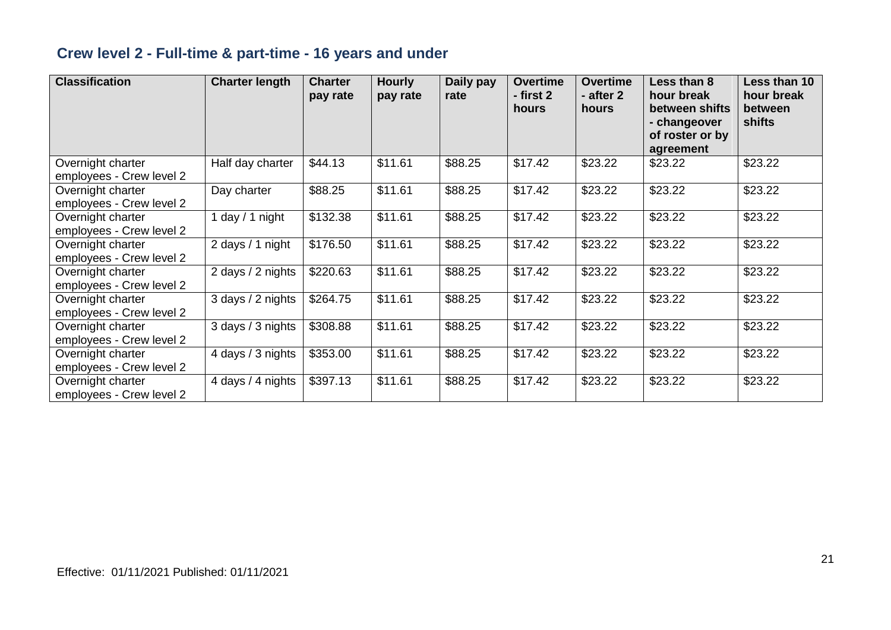## **Crew level 2 - Full-time & part-time - 16 years and under**

| <b>Classification</b>                         | <b>Charter length</b> | <b>Charter</b><br>pay rate | <b>Hourly</b><br>pay rate | Daily pay<br>rate | <b>Overtime</b><br>- first 2<br>hours | <b>Overtime</b><br>- after 2<br>hours | Less than 8<br>hour break<br>between shifts<br>- changeover<br>of roster or by<br>agreement | Less than 10<br>hour break<br>between<br>shifts |
|-----------------------------------------------|-----------------------|----------------------------|---------------------------|-------------------|---------------------------------------|---------------------------------------|---------------------------------------------------------------------------------------------|-------------------------------------------------|
| Overnight charter<br>employees - Crew level 2 | Half day charter      | \$44.13                    | \$11.61                   | \$88.25           | \$17.42                               | \$23.22                               | \$23.22                                                                                     | \$23.22                                         |
| Overnight charter<br>employees - Crew level 2 | Day charter           | \$88.25                    | \$11.61                   | \$88.25           | \$17.42                               | \$23.22                               | \$23.22                                                                                     | \$23.22                                         |
| Overnight charter<br>employees - Crew level 2 | day $/1$ night        | \$132.38                   | \$11.61                   | \$88.25           | \$17.42                               | \$23.22                               | \$23.22                                                                                     | \$23.22                                         |
| Overnight charter<br>employees - Crew level 2 | 2 days / 1 night      | \$176.50                   | \$11.61                   | \$88.25           | \$17.42                               | \$23.22                               | \$23.22                                                                                     | \$23.22                                         |
| Overnight charter<br>employees - Crew level 2 | 2 days / 2 nights     | \$220.63                   | \$11.61                   | \$88.25           | \$17.42                               | \$23.22                               | \$23.22                                                                                     | \$23.22                                         |
| Overnight charter<br>employees - Crew level 2 | 3 days / 2 nights     | \$264.75                   | \$11.61                   | \$88.25           | \$17.42                               | \$23.22                               | \$23.22                                                                                     | \$23.22                                         |
| Overnight charter<br>employees - Crew level 2 | 3 days / 3 nights     | \$308.88                   | \$11.61                   | \$88.25           | \$17.42                               | \$23.22                               | \$23.22                                                                                     | \$23.22                                         |
| Overnight charter<br>employees - Crew level 2 | 4 days / 3 nights     | \$353.00                   | \$11.61                   | \$88.25           | \$17.42                               | \$23.22                               | \$23.22                                                                                     | \$23.22                                         |
| Overnight charter<br>employees - Crew level 2 | 4 days / 4 nights     | \$397.13                   | \$11.61                   | \$88.25           | \$17.42                               | \$23.22                               | \$23.22                                                                                     | \$23.22                                         |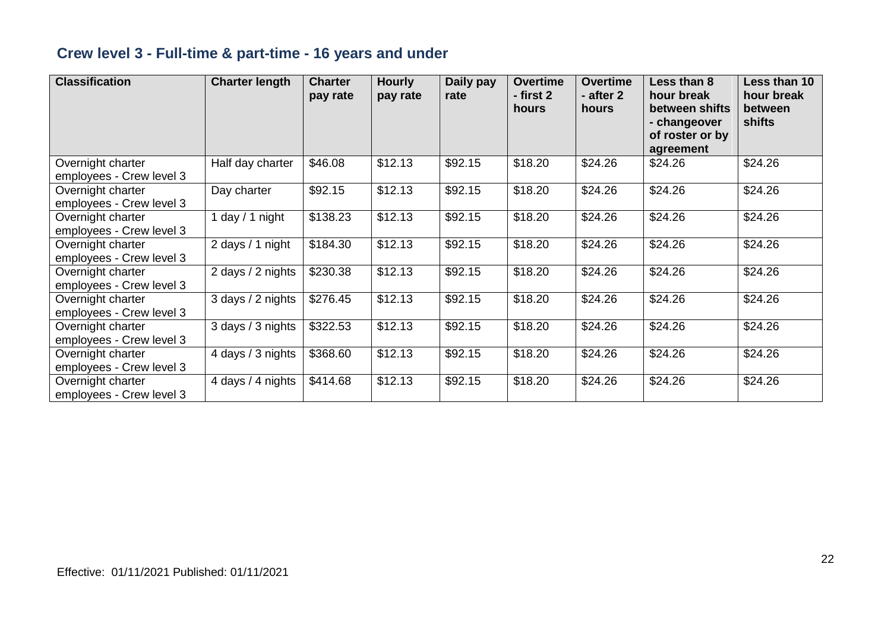## **Crew level 3 - Full-time & part-time - 16 years and under**

| <b>Classification</b>                         | <b>Charter length</b> | <b>Charter</b><br>pay rate | <b>Hourly</b><br>pay rate | Daily pay<br>rate | <b>Overtime</b><br>- first 2<br>hours | <b>Overtime</b><br>- after 2<br>hours | Less than 8<br>hour break<br>between shifts<br>- changeover<br>of roster or by<br>agreement | Less than 10<br>hour break<br>between<br>shifts |
|-----------------------------------------------|-----------------------|----------------------------|---------------------------|-------------------|---------------------------------------|---------------------------------------|---------------------------------------------------------------------------------------------|-------------------------------------------------|
| Overnight charter<br>employees - Crew level 3 | Half day charter      | \$46.08                    | \$12.13                   | \$92.15           | \$18.20                               | \$24.26                               | \$24.26                                                                                     | \$24.26                                         |
| Overnight charter<br>employees - Crew level 3 | Day charter           | \$92.15                    | \$12.13                   | \$92.15           | \$18.20                               | \$24.26                               | \$24.26                                                                                     | \$24.26                                         |
| Overnight charter<br>employees - Crew level 3 | day / 1 night         | \$138.23                   | \$12.13                   | \$92.15           | \$18.20                               | \$24.26                               | \$24.26                                                                                     | \$24.26                                         |
| Overnight charter<br>employees - Crew level 3 | 2 days / 1 night      | \$184.30                   | \$12.13                   | \$92.15           | \$18.20                               | \$24.26                               | \$24.26                                                                                     | \$24.26                                         |
| Overnight charter<br>employees - Crew level 3 | 2 days / 2 nights     | \$230.38                   | \$12.13                   | \$92.15           | \$18.20                               | \$24.26                               | \$24.26                                                                                     | \$24.26                                         |
| Overnight charter<br>employees - Crew level 3 | 3 days / 2 nights     | \$276.45                   | \$12.13                   | \$92.15           | \$18.20                               | \$24.26                               | \$24.26                                                                                     | \$24.26                                         |
| Overnight charter<br>employees - Crew level 3 | 3 days / 3 nights     | \$322.53                   | \$12.13                   | \$92.15           | \$18.20                               | \$24.26                               | \$24.26                                                                                     | \$24.26                                         |
| Overnight charter<br>employees - Crew level 3 | 4 days / 3 nights     | \$368.60                   | \$12.13                   | \$92.15           | \$18.20                               | \$24.26                               | \$24.26                                                                                     | \$24.26                                         |
| Overnight charter<br>employees - Crew level 3 | 4 days / 4 nights     | \$414.68                   | \$12.13                   | \$92.15           | \$18.20                               | \$24.26                               | \$24.26                                                                                     | \$24.26                                         |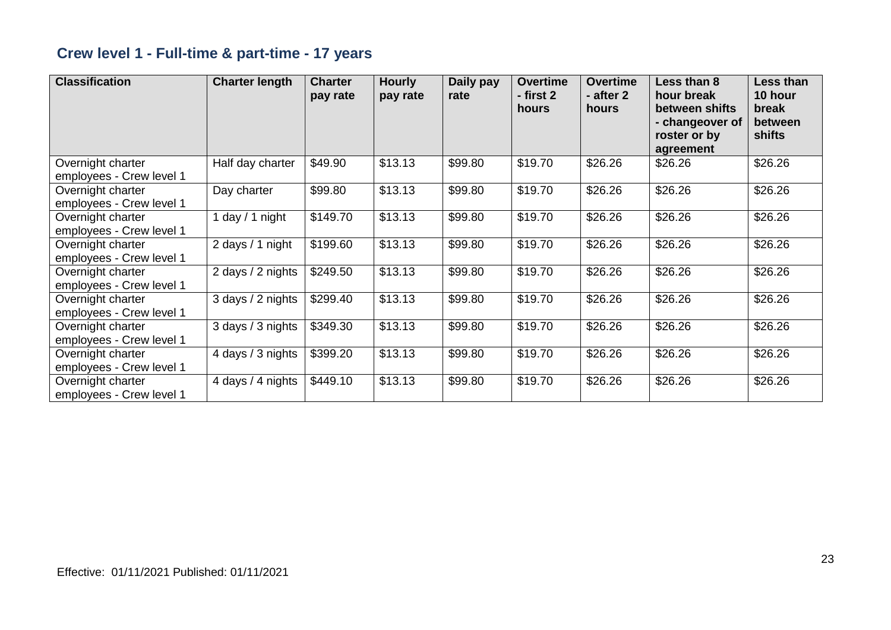## **Crew level 1 - Full-time & part-time - 17 years**

| <b>Classification</b>                         | <b>Charter length</b> | <b>Charter</b><br>pay rate | <b>Hourly</b><br>pay rate | Daily pay<br>rate | <b>Overtime</b><br>- first 2<br>hours | <b>Overtime</b><br>- after 2<br>hours | Less than 8<br>hour break<br>between shifts<br>- changeover of<br>roster or by<br>agreement | <b>Less than</b><br>10 hour<br>break<br>between<br>shifts |
|-----------------------------------------------|-----------------------|----------------------------|---------------------------|-------------------|---------------------------------------|---------------------------------------|---------------------------------------------------------------------------------------------|-----------------------------------------------------------|
| Overnight charter<br>employees - Crew level 1 | Half day charter      | \$49.90                    | \$13.13                   | \$99.80           | \$19.70                               | \$26.26                               | \$26.26                                                                                     | \$26.26                                                   |
| Overnight charter<br>employees - Crew level 1 | Day charter           | \$99.80                    | \$13.13                   | \$99.80           | \$19.70                               | \$26.26                               | \$26.26                                                                                     | \$26.26                                                   |
| Overnight charter<br>employees - Crew level 1 | day $/ 1$ night       | \$149.70                   | \$13.13                   | \$99.80           | \$19.70                               | \$26.26                               | \$26.26                                                                                     | \$26.26                                                   |
| Overnight charter<br>employees - Crew level 1 | 2 days / 1 night      | \$199.60                   | \$13.13                   | \$99.80           | \$19.70                               | \$26.26                               | \$26.26                                                                                     | \$26.26                                                   |
| Overnight charter<br>employees - Crew level 1 | 2 days / 2 nights     | \$249.50                   | \$13.13                   | \$99.80           | \$19.70                               | \$26.26                               | \$26.26                                                                                     | \$26.26                                                   |
| Overnight charter<br>employees - Crew level 1 | 3 days / 2 nights     | \$299.40                   | \$13.13                   | \$99.80           | \$19.70                               | \$26.26                               | \$26.26                                                                                     | \$26.26                                                   |
| Overnight charter<br>employees - Crew level 1 | 3 days / 3 nights     | \$349.30                   | \$13.13                   | \$99.80           | \$19.70                               | \$26.26                               | \$26.26                                                                                     | \$26.26                                                   |
| Overnight charter<br>employees - Crew level 1 | 4 days / 3 nights     | \$399.20                   | \$13.13                   | \$99.80           | \$19.70                               | \$26.26                               | \$26.26                                                                                     | \$26.26                                                   |
| Overnight charter<br>employees - Crew level 1 | 4 days / 4 nights     | \$449.10                   | \$13.13                   | \$99.80           | \$19.70                               | \$26.26                               | \$26.26                                                                                     | \$26.26                                                   |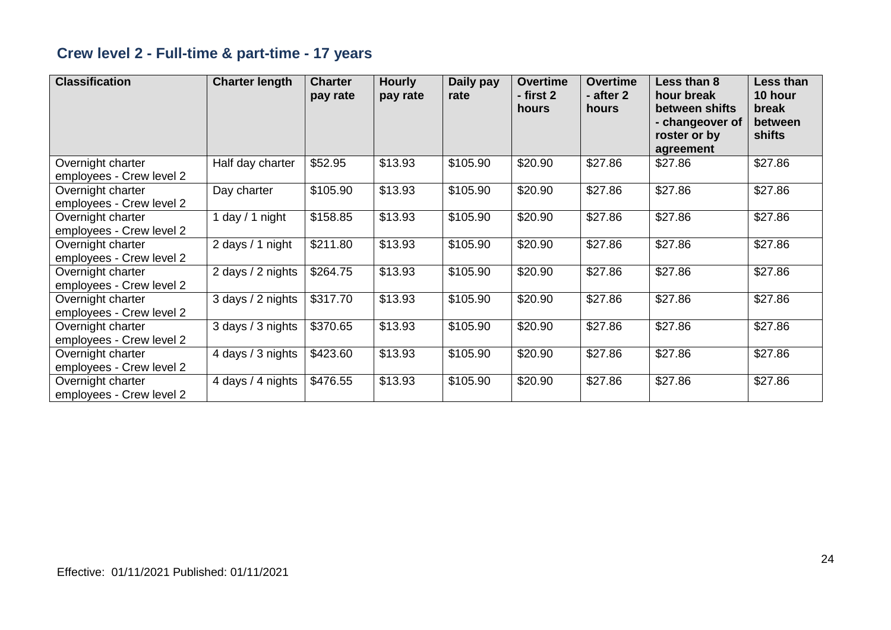## **Crew level 2 - Full-time & part-time - 17 years**

| <b>Classification</b>                         | <b>Charter length</b> | <b>Charter</b><br>pay rate | <b>Hourly</b><br>pay rate | Daily pay<br>rate | <b>Overtime</b><br>- first 2<br>hours | <b>Overtime</b><br>- after 2<br>hours | Less than 8<br>hour break<br>between shifts<br>- changeover of<br>roster or by<br>agreement | Less than<br>10 hour<br>break<br>between<br>shifts |
|-----------------------------------------------|-----------------------|----------------------------|---------------------------|-------------------|---------------------------------------|---------------------------------------|---------------------------------------------------------------------------------------------|----------------------------------------------------|
| Overnight charter<br>employees - Crew level 2 | Half day charter      | \$52.95                    | \$13.93                   | \$105.90          | \$20.90                               | \$27.86                               | \$27.86                                                                                     | \$27.86                                            |
| Overnight charter<br>employees - Crew level 2 | Day charter           | \$105.90                   | \$13.93                   | \$105.90          | \$20.90                               | \$27.86                               | \$27.86                                                                                     | \$27.86                                            |
| Overnight charter<br>employees - Crew level 2 | day / 1 night         | \$158.85                   | \$13.93                   | \$105.90          | \$20.90                               | \$27.86                               | \$27.86                                                                                     | \$27.86                                            |
| Overnight charter<br>employees - Crew level 2 | 2 days / 1 night      | \$211.80                   | \$13.93                   | \$105.90          | \$20.90                               | \$27.86                               | \$27.86                                                                                     | \$27.86                                            |
| Overnight charter<br>employees - Crew level 2 | 2 days / 2 nights     | \$264.75                   | \$13.93                   | \$105.90          | \$20.90                               | \$27.86                               | \$27.86                                                                                     | \$27.86                                            |
| Overnight charter<br>employees - Crew level 2 | 3 days / 2 nights     | \$317.70                   | \$13.93                   | \$105.90          | \$20.90                               | \$27.86                               | \$27.86                                                                                     | \$27.86                                            |
| Overnight charter<br>employees - Crew level 2 | 3 days / 3 nights     | \$370.65                   | \$13.93                   | \$105.90          | \$20.90                               | \$27.86                               | \$27.86                                                                                     | \$27.86                                            |
| Overnight charter<br>employees - Crew level 2 | 4 days / 3 nights     | \$423.60                   | \$13.93                   | \$105.90          | \$20.90                               | \$27.86                               | \$27.86                                                                                     | \$27.86                                            |
| Overnight charter<br>employees - Crew level 2 | 4 days / 4 nights     | \$476.55                   | \$13.93                   | \$105.90          | \$20.90                               | \$27.86                               | \$27.86                                                                                     | \$27.86                                            |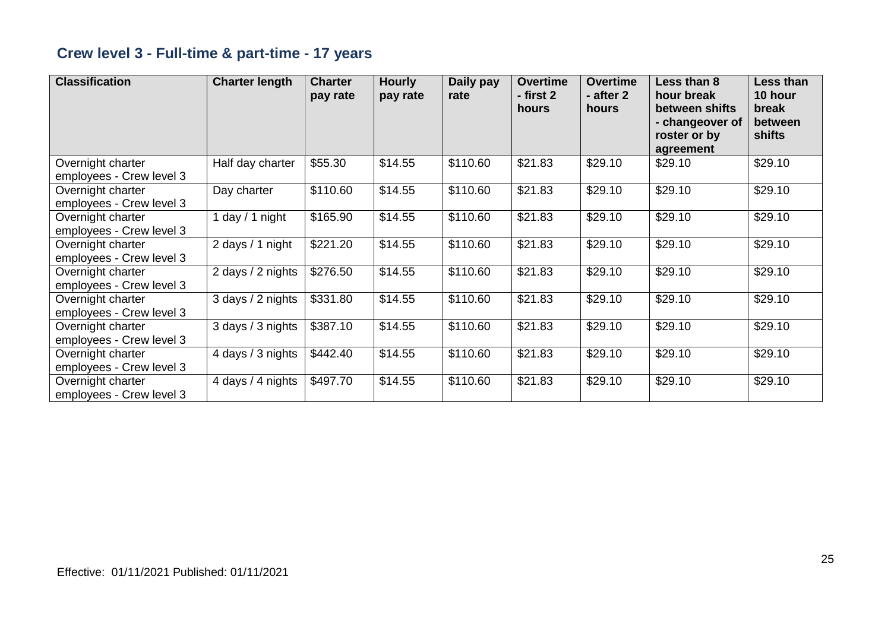## **Crew level 3 - Full-time & part-time - 17 years**

| <b>Classification</b>                         | <b>Charter length</b> | <b>Charter</b><br>pay rate | <b>Hourly</b><br>pay rate | Daily pay<br>rate | <b>Overtime</b><br>- first 2<br>hours | <b>Overtime</b><br>- after 2<br>hours | Less than 8<br>hour break<br>between shifts<br>- changeover of<br>roster or by<br>agreement | Less than<br>10 hour<br>break<br>between<br>shifts |
|-----------------------------------------------|-----------------------|----------------------------|---------------------------|-------------------|---------------------------------------|---------------------------------------|---------------------------------------------------------------------------------------------|----------------------------------------------------|
| Overnight charter<br>employees - Crew level 3 | Half day charter      | \$55.30                    | \$14.55                   | \$110.60          | \$21.83                               | \$29.10                               | \$29.10                                                                                     | \$29.10                                            |
| Overnight charter<br>employees - Crew level 3 | Day charter           | \$110.60                   | \$14.55                   | \$110.60          | \$21.83                               | \$29.10                               | \$29.10                                                                                     | \$29.10                                            |
| Overnight charter<br>employees - Crew level 3 | day / 1 night         | \$165.90                   | \$14.55                   | \$110.60          | \$21.83                               | \$29.10                               | \$29.10                                                                                     | \$29.10                                            |
| Overnight charter<br>employees - Crew level 3 | 2 days / 1 night      | \$221.20                   | \$14.55                   | \$110.60          | \$21.83                               | \$29.10                               | \$29.10                                                                                     | \$29.10                                            |
| Overnight charter<br>employees - Crew level 3 | 2 days / 2 nights     | \$276.50                   | \$14.55                   | \$110.60          | \$21.83                               | \$29.10                               | \$29.10                                                                                     | \$29.10                                            |
| Overnight charter<br>employees - Crew level 3 | 3 days / 2 nights     | \$331.80                   | \$14.55                   | \$110.60          | \$21.83                               | \$29.10                               | \$29.10                                                                                     | \$29.10                                            |
| Overnight charter<br>employees - Crew level 3 | 3 days / 3 nights     | \$387.10                   | \$14.55                   | \$110.60          | \$21.83                               | \$29.10                               | \$29.10                                                                                     | \$29.10                                            |
| Overnight charter<br>employees - Crew level 3 | 4 days / 3 nights     | \$442.40                   | \$14.55                   | \$110.60          | \$21.83                               | \$29.10                               | \$29.10                                                                                     | \$29.10                                            |
| Overnight charter<br>employees - Crew level 3 | 4 days / 4 nights     | \$497.70                   | \$14.55                   | \$110.60          | \$21.83                               | \$29.10                               | \$29.10                                                                                     | \$29.10                                            |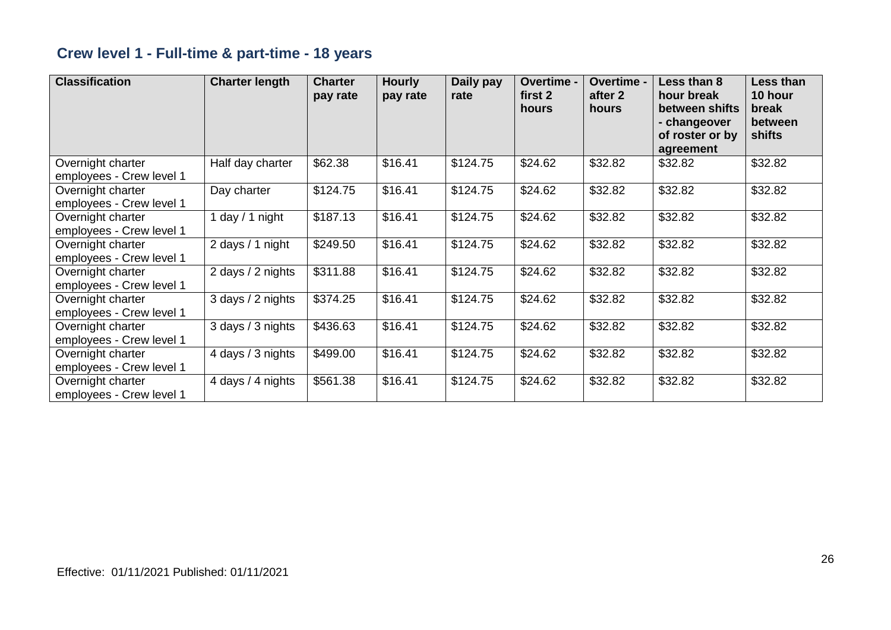## **Crew level 1 - Full-time & part-time - 18 years**

| <b>Classification</b>                         | <b>Charter length</b> | <b>Charter</b><br>pay rate | <b>Hourly</b><br>pay rate | Daily pay<br>rate | Overtime -<br>first 2<br>hours | Overtime -<br>after 2<br>hours | Less than 8<br>hour break<br>between shifts<br>- changeover<br>of roster or by<br>agreement | Less than<br>10 hour<br>break<br>between<br>shifts |
|-----------------------------------------------|-----------------------|----------------------------|---------------------------|-------------------|--------------------------------|--------------------------------|---------------------------------------------------------------------------------------------|----------------------------------------------------|
| Overnight charter<br>employees - Crew level 1 | Half day charter      | \$62.38                    | \$16.41                   | \$124.75          | \$24.62                        | \$32.82                        | \$32.82                                                                                     | \$32.82                                            |
| Overnight charter<br>employees - Crew level 1 | Day charter           | \$124.75                   | \$16.41                   | \$124.75          | \$24.62                        | \$32.82                        | \$32.82                                                                                     | \$32.82                                            |
| Overnight charter<br>employees - Crew level 1 | 1 day / 1 night       | \$187.13                   | \$16.41                   | \$124.75          | \$24.62                        | \$32.82                        | \$32.82                                                                                     | \$32.82                                            |
| Overnight charter<br>employees - Crew level 1 | 2 days / 1 night      | \$249.50                   | \$16.41                   | \$124.75          | \$24.62                        | \$32.82                        | \$32.82                                                                                     | \$32.82                                            |
| Overnight charter<br>employees - Crew level 1 | 2 days / 2 nights     | \$311.88                   | \$16.41                   | \$124.75          | \$24.62                        | \$32.82                        | \$32.82                                                                                     | \$32.82                                            |
| Overnight charter<br>employees - Crew level 1 | 3 days / 2 nights     | \$374.25                   | \$16.41                   | \$124.75          | \$24.62                        | \$32.82                        | \$32.82                                                                                     | \$32.82                                            |
| Overnight charter<br>employees - Crew level 1 | 3 days / 3 nights     | \$436.63                   | \$16.41                   | \$124.75          | \$24.62                        | \$32.82                        | \$32.82                                                                                     | \$32.82                                            |
| Overnight charter<br>employees - Crew level 1 | 4 days / 3 nights     | \$499.00                   | \$16.41                   | \$124.75          | \$24.62                        | \$32.82                        | \$32.82                                                                                     | \$32.82                                            |
| Overnight charter<br>employees - Crew level 1 | 4 days / 4 nights     | \$561.38                   | \$16.41                   | \$124.75          | \$24.62                        | \$32.82                        | \$32.82                                                                                     | \$32.82                                            |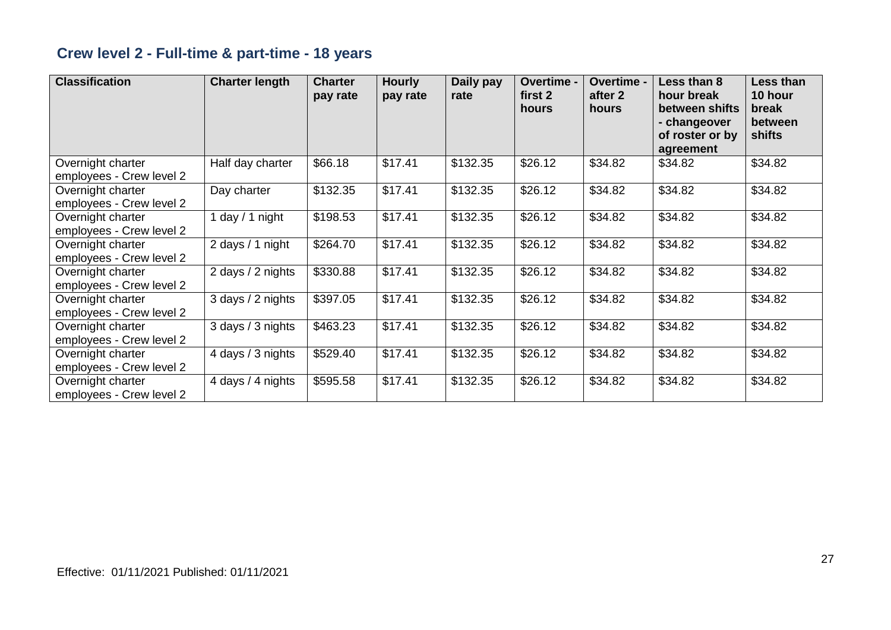## **Crew level 2 - Full-time & part-time - 18 years**

| <b>Classification</b>                         | <b>Charter length</b> | <b>Charter</b><br>pay rate | <b>Hourly</b><br>pay rate | Daily pay<br>rate | Overtime -<br>first 2<br>hours | Overtime -<br>after 2<br>hours | Less than 8<br>hour break<br>between shifts<br>- changeover<br>of roster or by<br>agreement | <b>Less than</b><br>10 hour<br>break<br>between<br>shifts |
|-----------------------------------------------|-----------------------|----------------------------|---------------------------|-------------------|--------------------------------|--------------------------------|---------------------------------------------------------------------------------------------|-----------------------------------------------------------|
| Overnight charter<br>employees - Crew level 2 | Half day charter      | \$66.18                    | \$17.41                   | \$132.35          | \$26.12                        | \$34.82                        | \$34.82                                                                                     | \$34.82                                                   |
| Overnight charter<br>employees - Crew level 2 | Day charter           | \$132.35                   | \$17.41                   | \$132.35          | \$26.12                        | \$34.82                        | \$34.82                                                                                     | \$34.82                                                   |
| Overnight charter<br>employees - Crew level 2 | day / 1 night         | \$198.53                   | \$17.41                   | \$132.35          | \$26.12                        | \$34.82                        | \$34.82                                                                                     | \$34.82                                                   |
| Overnight charter<br>employees - Crew level 2 | 2 days / 1 night      | \$264.70                   | \$17.41                   | \$132.35          | \$26.12                        | \$34.82                        | \$34.82                                                                                     | \$34.82                                                   |
| Overnight charter<br>employees - Crew level 2 | 2 days / 2 nights     | \$330.88                   | \$17.41                   | \$132.35          | \$26.12                        | \$34.82                        | \$34.82                                                                                     | \$34.82                                                   |
| Overnight charter<br>employees - Crew level 2 | 3 days / 2 nights     | \$397.05                   | \$17.41                   | \$132.35          | \$26.12                        | \$34.82                        | \$34.82                                                                                     | \$34.82                                                   |
| Overnight charter<br>employees - Crew level 2 | 3 days / 3 nights     | \$463.23                   | \$17.41                   | \$132.35          | \$26.12                        | \$34.82                        | \$34.82                                                                                     | \$34.82                                                   |
| Overnight charter<br>employees - Crew level 2 | 4 days / 3 nights     | \$529.40                   | \$17.41                   | \$132.35          | \$26.12                        | \$34.82                        | \$34.82                                                                                     | \$34.82                                                   |
| Overnight charter<br>employees - Crew level 2 | 4 days / 4 nights     | \$595.58                   | \$17.41                   | \$132.35          | \$26.12                        | \$34.82                        | \$34.82                                                                                     | \$34.82                                                   |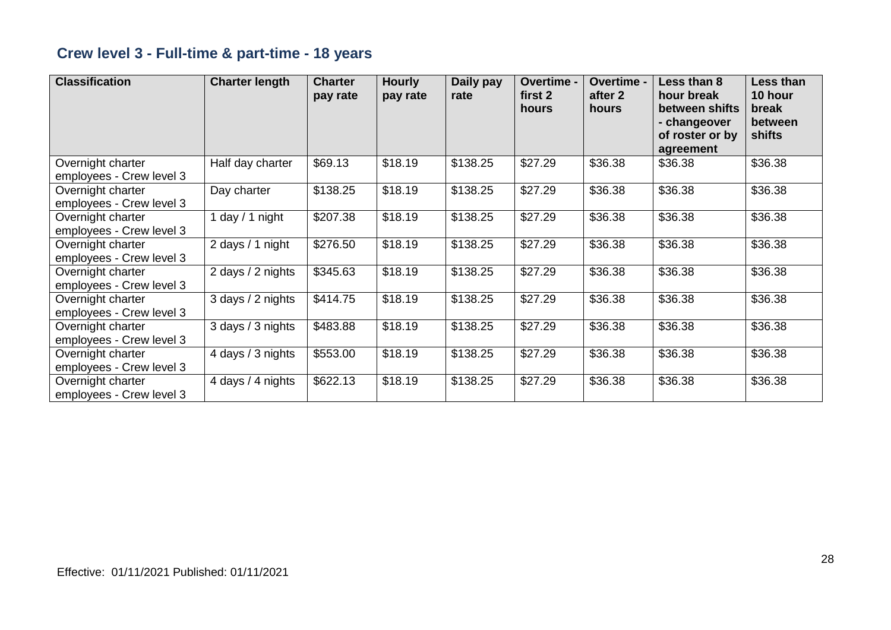## **Crew level 3 - Full-time & part-time - 18 years**

| <b>Classification</b>                         | <b>Charter length</b> | <b>Charter</b><br>pay rate | <b>Hourly</b><br>pay rate | Daily pay<br>rate | Overtime -<br>first 2<br>hours | Overtime -<br>after 2<br>hours | Less than 8<br>hour break<br>between shifts<br>- changeover<br>of roster or by<br>agreement | <b>Less than</b><br>10 hour<br>break<br>between<br>shifts |
|-----------------------------------------------|-----------------------|----------------------------|---------------------------|-------------------|--------------------------------|--------------------------------|---------------------------------------------------------------------------------------------|-----------------------------------------------------------|
| Overnight charter<br>employees - Crew level 3 | Half day charter      | \$69.13                    | \$18.19                   | \$138.25          | \$27.29                        | \$36.38                        | \$36.38                                                                                     | \$36.38                                                   |
| Overnight charter<br>employees - Crew level 3 | Day charter           | \$138.25                   | \$18.19                   | \$138.25          | \$27.29                        | \$36.38                        | \$36.38                                                                                     | \$36.38                                                   |
| Overnight charter<br>employees - Crew level 3 | day / 1 night         | \$207.38                   | \$18.19                   | \$138.25          | \$27.29                        | \$36.38                        | \$36.38                                                                                     | \$36.38                                                   |
| Overnight charter<br>employees - Crew level 3 | 2 days / 1 night      | \$276.50                   | \$18.19                   | \$138.25          | \$27.29                        | \$36.38                        | \$36.38                                                                                     | \$36.38                                                   |
| Overnight charter<br>employees - Crew level 3 | 2 days / 2 nights     | \$345.63                   | \$18.19                   | \$138.25          | \$27.29                        | \$36.38                        | \$36.38                                                                                     | \$36.38                                                   |
| Overnight charter<br>employees - Crew level 3 | 3 days / 2 nights     | \$414.75                   | \$18.19                   | \$138.25          | \$27.29                        | \$36.38                        | \$36.38                                                                                     | \$36.38                                                   |
| Overnight charter<br>employees - Crew level 3 | 3 days / 3 nights     | \$483.88                   | \$18.19                   | \$138.25          | \$27.29                        | \$36.38                        | \$36.38                                                                                     | \$36.38                                                   |
| Overnight charter<br>employees - Crew level 3 | 4 days / 3 nights     | \$553.00                   | \$18.19                   | \$138.25          | \$27.29                        | \$36.38                        | \$36.38                                                                                     | \$36.38                                                   |
| Overnight charter<br>employees - Crew level 3 | 4 days / 4 nights     | \$622.13                   | \$18.19                   | \$138.25          | \$27.29                        | \$36.38                        | \$36.38                                                                                     | \$36.38                                                   |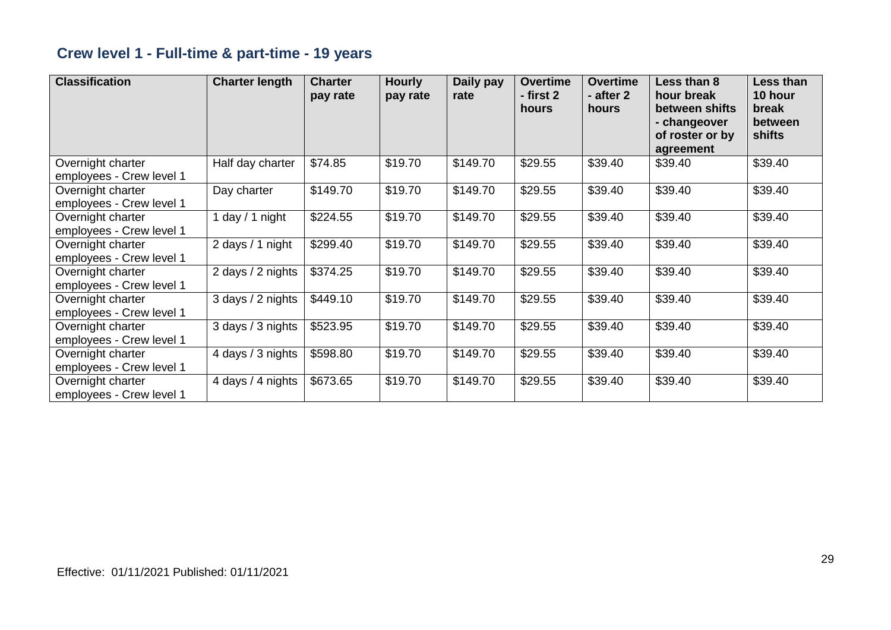## **Crew level 1 - Full-time & part-time - 19 years**

| <b>Classification</b>                         | <b>Charter length</b> | <b>Charter</b><br>pay rate | <b>Hourly</b><br>pay rate | Daily pay<br>rate | <b>Overtime</b><br>- first 2<br>hours | <b>Overtime</b><br>- after 2<br>hours | Less than 8<br>hour break<br>between shifts<br>- changeover<br>of roster or by<br>agreement | Less than<br>10 hour<br>break<br>between<br>shifts |
|-----------------------------------------------|-----------------------|----------------------------|---------------------------|-------------------|---------------------------------------|---------------------------------------|---------------------------------------------------------------------------------------------|----------------------------------------------------|
| Overnight charter<br>employees - Crew level 1 | Half day charter      | \$74.85                    | \$19.70                   | \$149.70          | \$29.55                               | \$39.40                               | \$39.40                                                                                     | \$39.40                                            |
| Overnight charter<br>employees - Crew level 1 | Day charter           | \$149.70                   | \$19.70                   | \$149.70          | \$29.55                               | \$39.40                               | \$39.40                                                                                     | \$39.40                                            |
| Overnight charter<br>employees - Crew level 1 | day / 1 night         | \$224.55                   | \$19.70                   | \$149.70          | \$29.55                               | \$39.40                               | \$39.40                                                                                     | \$39.40                                            |
| Overnight charter<br>employees - Crew level 1 | 2 days / 1 night      | \$299.40                   | \$19.70                   | \$149.70          | \$29.55                               | \$39.40                               | \$39.40                                                                                     | \$39.40                                            |
| Overnight charter<br>employees - Crew level 1 | 2 days / 2 nights     | \$374.25                   | \$19.70                   | \$149.70          | \$29.55                               | \$39.40                               | \$39.40                                                                                     | \$39.40                                            |
| Overnight charter<br>employees - Crew level 1 | 3 days / 2 nights     | \$449.10                   | \$19.70                   | \$149.70          | \$29.55                               | \$39.40                               | \$39.40                                                                                     | \$39.40                                            |
| Overnight charter<br>employees - Crew level 1 | 3 days / 3 nights     | \$523.95                   | \$19.70                   | \$149.70          | \$29.55                               | \$39.40                               | \$39.40                                                                                     | \$39.40                                            |
| Overnight charter<br>employees - Crew level 1 | 4 days / 3 nights     | \$598.80                   | \$19.70                   | \$149.70          | \$29.55                               | \$39.40                               | \$39.40                                                                                     | \$39.40                                            |
| Overnight charter<br>employees - Crew level 1 | 4 days / 4 nights     | \$673.65                   | \$19.70                   | \$149.70          | \$29.55                               | \$39.40                               | \$39.40                                                                                     | \$39.40                                            |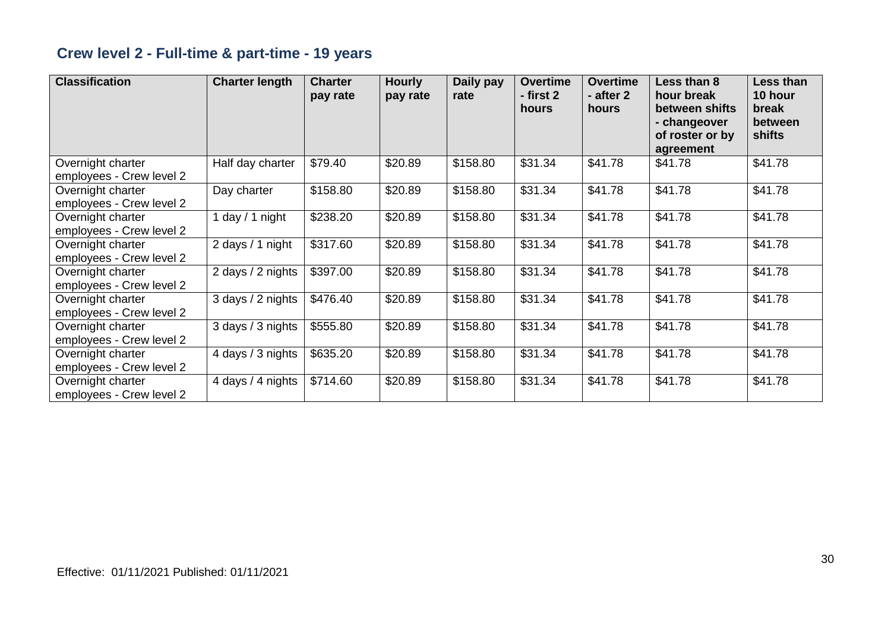## **Crew level 2 - Full-time & part-time - 19 years**

| <b>Classification</b>                         | <b>Charter length</b> | <b>Charter</b><br>pay rate | <b>Hourly</b><br>pay rate | Daily pay<br>rate | <b>Overtime</b><br>- first 2<br>hours | <b>Overtime</b><br>- after 2<br>hours | Less than 8<br>hour break<br>between shifts<br>- changeover<br>of roster or by<br>agreement | Less than<br>10 hour<br>break<br>between<br>shifts |
|-----------------------------------------------|-----------------------|----------------------------|---------------------------|-------------------|---------------------------------------|---------------------------------------|---------------------------------------------------------------------------------------------|----------------------------------------------------|
| Overnight charter<br>employees - Crew level 2 | Half day charter      | \$79.40                    | \$20.89                   | \$158.80          | \$31.34                               | \$41.78                               | \$41.78                                                                                     | \$41.78                                            |
| Overnight charter<br>employees - Crew level 2 | Day charter           | \$158.80                   | \$20.89                   | \$158.80          | \$31.34                               | \$41.78                               | \$41.78                                                                                     | \$41.78                                            |
| Overnight charter<br>employees - Crew level 2 | day / 1 night         | \$238.20                   | \$20.89                   | \$158.80          | \$31.34                               | \$41.78                               | \$41.78                                                                                     | \$41.78                                            |
| Overnight charter<br>employees - Crew level 2 | 2 days / 1 night      | \$317.60                   | \$20.89                   | \$158.80          | \$31.34                               | \$41.78                               | \$41.78                                                                                     | \$41.78                                            |
| Overnight charter<br>employees - Crew level 2 | 2 days / 2 nights     | \$397.00                   | \$20.89                   | \$158.80          | \$31.34                               | \$41.78                               | \$41.78                                                                                     | \$41.78                                            |
| Overnight charter<br>employees - Crew level 2 | 3 days / 2 nights     | \$476.40                   | \$20.89                   | \$158.80          | \$31.34                               | \$41.78                               | \$41.78                                                                                     | \$41.78                                            |
| Overnight charter<br>employees - Crew level 2 | 3 days / 3 nights     | \$555.80                   | \$20.89                   | \$158.80          | \$31.34                               | \$41.78                               | \$41.78                                                                                     | \$41.78                                            |
| Overnight charter<br>employees - Crew level 2 | 4 days / 3 nights     | \$635.20                   | \$20.89                   | \$158.80          | \$31.34                               | \$41.78                               | \$41.78                                                                                     | \$41.78                                            |
| Overnight charter<br>employees - Crew level 2 | 4 days / 4 nights     | \$714.60                   | \$20.89                   | \$158.80          | \$31.34                               | \$41.78                               | \$41.78                                                                                     | \$41.78                                            |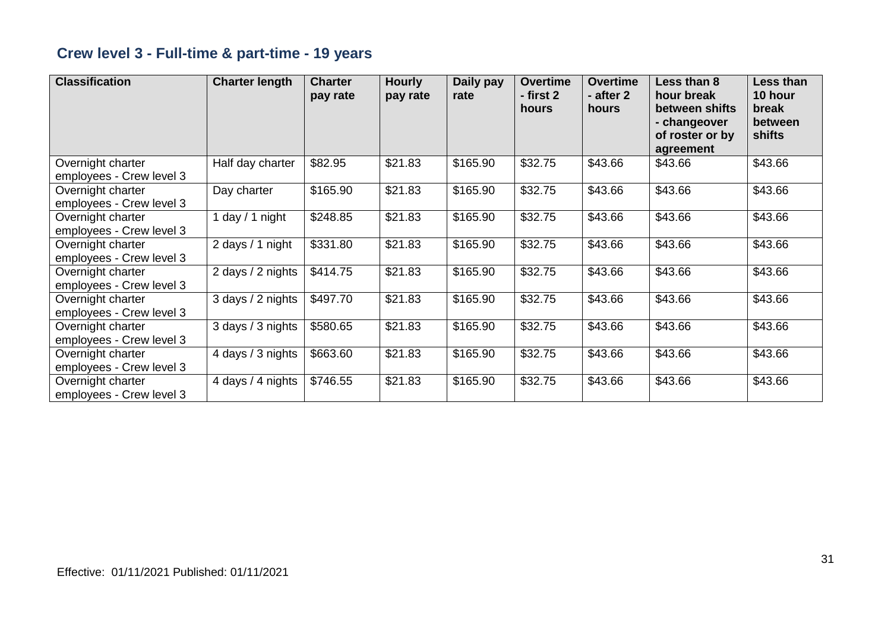## **Crew level 3 - Full-time & part-time - 19 years**

| <b>Classification</b>                         | <b>Charter length</b> | <b>Charter</b><br>pay rate | <b>Hourly</b><br>pay rate | Daily pay<br>rate | <b>Overtime</b><br>- first 2<br>hours | <b>Overtime</b><br>- after 2<br>hours | Less than 8<br>hour break<br>between shifts<br>- changeover<br>of roster or by<br>agreement | Less than<br>10 hour<br>break<br>between<br>shifts |
|-----------------------------------------------|-----------------------|----------------------------|---------------------------|-------------------|---------------------------------------|---------------------------------------|---------------------------------------------------------------------------------------------|----------------------------------------------------|
| Overnight charter<br>employees - Crew level 3 | Half day charter      | \$82.95                    | \$21.83                   | \$165.90          | \$32.75                               | \$43.66                               | \$43.66                                                                                     | \$43.66                                            |
| Overnight charter<br>employees - Crew level 3 | Day charter           | \$165.90                   | \$21.83                   | \$165.90          | \$32.75                               | \$43.66                               | \$43.66                                                                                     | \$43.66                                            |
| Overnight charter<br>employees - Crew level 3 | day / 1 night         | \$248.85                   | \$21.83                   | \$165.90          | \$32.75                               | \$43.66                               | \$43.66                                                                                     | \$43.66                                            |
| Overnight charter<br>employees - Crew level 3 | 2 days / 1 night      | \$331.80                   | \$21.83                   | \$165.90          | \$32.75                               | \$43.66                               | \$43.66                                                                                     | \$43.66                                            |
| Overnight charter<br>employees - Crew level 3 | 2 days / 2 nights     | \$414.75                   | \$21.83                   | \$165.90          | \$32.75                               | \$43.66                               | \$43.66                                                                                     | \$43.66                                            |
| Overnight charter<br>employees - Crew level 3 | 3 days / 2 nights     | \$497.70                   | \$21.83                   | \$165.90          | \$32.75                               | \$43.66                               | \$43.66                                                                                     | \$43.66                                            |
| Overnight charter<br>employees - Crew level 3 | 3 days / 3 nights     | \$580.65                   | \$21.83                   | \$165.90          | \$32.75                               | \$43.66                               | \$43.66                                                                                     | \$43.66                                            |
| Overnight charter<br>employees - Crew level 3 | 4 days / 3 nights     | \$663.60                   | \$21.83                   | \$165.90          | \$32.75                               | \$43.66                               | \$43.66                                                                                     | \$43.66                                            |
| Overnight charter<br>employees - Crew level 3 | 4 days / 4 nights     | \$746.55                   | \$21.83                   | \$165.90          | \$32.75                               | \$43.66                               | \$43.66                                                                                     | \$43.66                                            |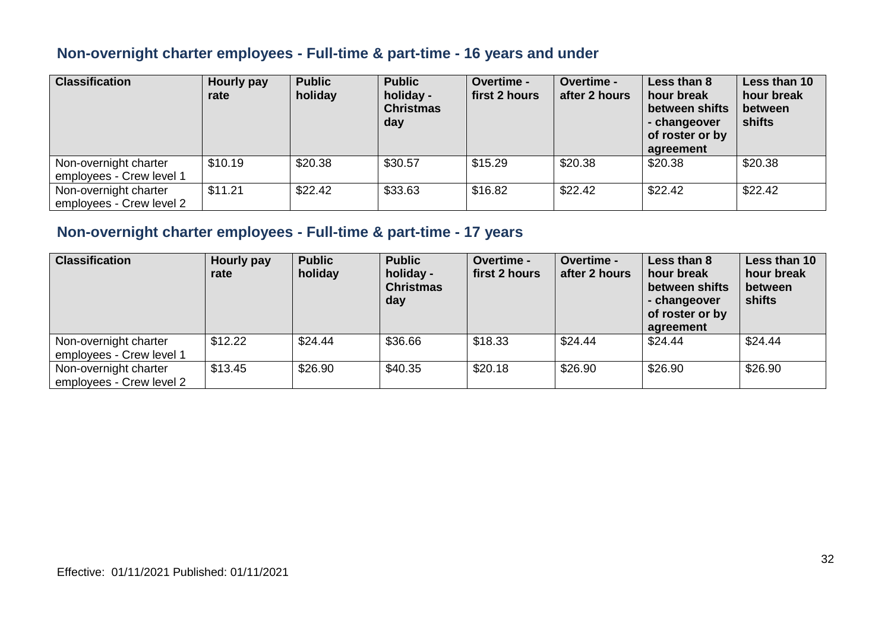#### **Non-overnight charter employees - Full-time & part-time - 16 years and under**

| <b>Classification</b>                             | Hourly pay<br>rate | <b>Public</b><br>holiday | <b>Public</b><br>holiday -<br><b>Christmas</b><br>day | <b>Overtime -</b><br>first 2 hours | <b>Overtime -</b><br>after 2 hours | Less than 8<br>hour break<br>between shifts<br>- changeover<br>of roster or by<br>agreement | Less than 10<br>hour break<br>between<br><b>shifts</b> |
|---------------------------------------------------|--------------------|--------------------------|-------------------------------------------------------|------------------------------------|------------------------------------|---------------------------------------------------------------------------------------------|--------------------------------------------------------|
| Non-overnight charter<br>employees - Crew level 1 | \$10.19            | \$20.38                  | \$30.57                                               | \$15.29                            | \$20.38                            | \$20.38                                                                                     | \$20.38                                                |
| Non-overnight charter<br>employees - Crew level 2 | \$11.21            | \$22.42                  | \$33.63                                               | \$16.82                            | \$22.42                            | \$22.42                                                                                     | \$22.42                                                |

#### **Non-overnight charter employees - Full-time & part-time - 17 years**

| <b>Classification</b>                             | <b>Hourly pay</b><br>rate | <b>Public</b><br>holiday | <b>Public</b><br>holiday -<br><b>Christmas</b><br>day | <b>Overtime -</b><br>first 2 hours | <b>Overtime -</b><br>after 2 hours | Less than 8<br>hour break<br>between shifts<br>- changeover<br>of roster or by<br>agreement | Less than 10<br>hour break<br>between<br>shifts |
|---------------------------------------------------|---------------------------|--------------------------|-------------------------------------------------------|------------------------------------|------------------------------------|---------------------------------------------------------------------------------------------|-------------------------------------------------|
| Non-overnight charter<br>employees - Crew level 1 | \$12.22                   | \$24.44                  | \$36.66                                               | \$18.33                            | \$24.44                            | \$24.44                                                                                     | \$24.44                                         |
| Non-overnight charter<br>employees - Crew level 2 | \$13.45                   | \$26.90                  | \$40.35                                               | \$20.18                            | \$26.90                            | \$26.90                                                                                     | \$26.90                                         |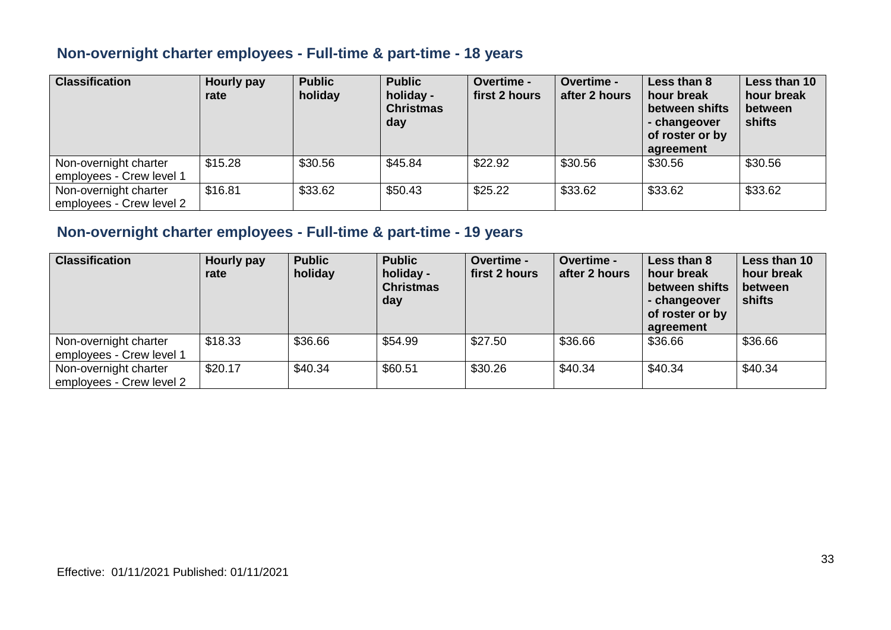#### **Non-overnight charter employees - Full-time & part-time - 18 years**

| <b>Classification</b>                             | <b>Hourly pay</b><br>rate | <b>Public</b><br>holiday | <b>Public</b><br>holiday -<br><b>Christmas</b><br>day | <b>Overtime -</b><br>first 2 hours | <b>Overtime -</b><br>after 2 hours | Less than 8<br>hour break<br>between shifts<br>- changeover<br>of roster or by<br>agreement | Less than 10<br>hour break<br>between<br>shifts |
|---------------------------------------------------|---------------------------|--------------------------|-------------------------------------------------------|------------------------------------|------------------------------------|---------------------------------------------------------------------------------------------|-------------------------------------------------|
| Non-overnight charter<br>employees - Crew level 1 | \$15.28                   | \$30.56                  | \$45.84                                               | \$22.92                            | \$30.56                            | \$30.56                                                                                     | \$30.56                                         |
| Non-overnight charter<br>employees - Crew level 2 | \$16.81                   | \$33.62                  | \$50.43                                               | \$25.22                            | \$33.62                            | \$33.62                                                                                     | \$33.62                                         |

#### **Non-overnight charter employees - Full-time & part-time - 19 years**

| <b>Classification</b>                             | Hourly pay<br>rate | <b>Public</b><br>holiday | <b>Public</b><br>holiday -<br><b>Christmas</b><br>day | <b>Overtime -</b><br>first 2 hours | <b>Overtime -</b><br>after 2 hours | Less than 8<br>hour break<br>between shifts<br>- changeover<br>of roster or by<br>agreement | Less than 10<br>hour break<br>between<br>shifts |
|---------------------------------------------------|--------------------|--------------------------|-------------------------------------------------------|------------------------------------|------------------------------------|---------------------------------------------------------------------------------------------|-------------------------------------------------|
| Non-overnight charter<br>employees - Crew level 1 | \$18.33            | \$36.66                  | \$54.99                                               | \$27.50                            | \$36.66                            | \$36.66                                                                                     | \$36.66                                         |
| Non-overnight charter<br>employees - Crew level 2 | \$20.17            | \$40.34                  | \$60.51                                               | \$30.26                            | \$40.34                            | \$40.34                                                                                     | \$40.34                                         |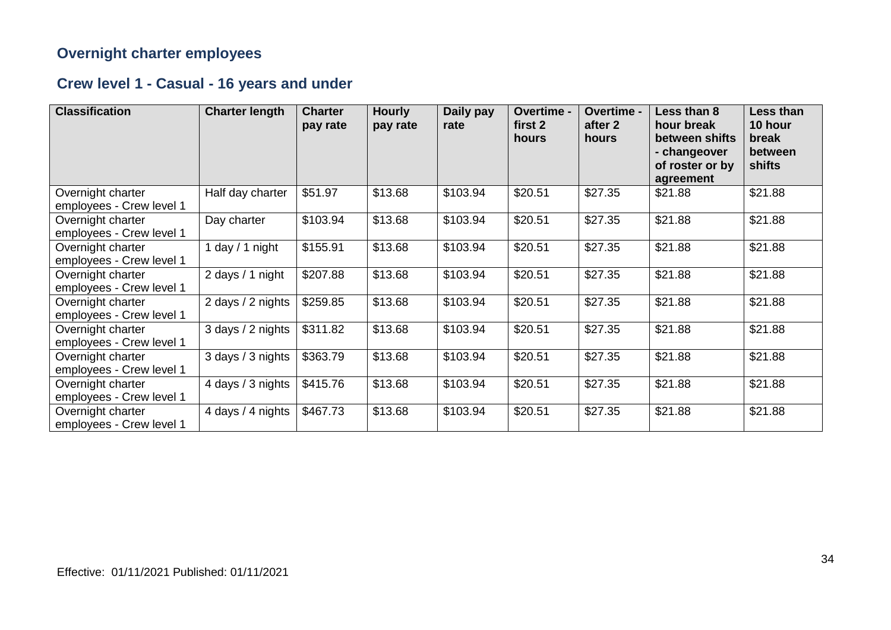#### **Overnight charter employees**

## **Crew level 1 - Casual - 16 years and under**

| <b>Classification</b>                         | <b>Charter length</b> | <b>Charter</b><br>pay rate | <b>Hourly</b><br>pay rate | Daily pay<br>rate | Overtime -<br>first 2<br>hours | Overtime -<br>after 2<br>hours | Less than 8<br>hour break<br>between shifts<br>- changeover<br>of roster or by<br>agreement | Less than<br>10 hour<br>break<br>between<br>shifts |
|-----------------------------------------------|-----------------------|----------------------------|---------------------------|-------------------|--------------------------------|--------------------------------|---------------------------------------------------------------------------------------------|----------------------------------------------------|
| Overnight charter<br>employees - Crew level 1 | Half day charter      | \$51.97                    | \$13.68                   | \$103.94          | \$20.51                        | \$27.35                        | \$21.88                                                                                     | \$21.88                                            |
| Overnight charter<br>employees - Crew level 1 | Day charter           | \$103.94                   | \$13.68                   | \$103.94          | \$20.51                        | \$27.35                        | \$21.88                                                                                     | \$21.88                                            |
| Overnight charter<br>employees - Crew level 1 | day / 1 night         | \$155.91                   | \$13.68                   | \$103.94          | \$20.51                        | \$27.35                        | \$21.88                                                                                     | \$21.88                                            |
| Overnight charter<br>employees - Crew level 1 | 2 days / 1 night      | \$207.88                   | \$13.68                   | \$103.94          | \$20.51                        | \$27.35                        | \$21.88                                                                                     | \$21.88                                            |
| Overnight charter<br>employees - Crew level 1 | 2 days / 2 nights     | \$259.85                   | \$13.68                   | \$103.94          | \$20.51                        | \$27.35                        | \$21.88                                                                                     | \$21.88                                            |
| Overnight charter<br>employees - Crew level 1 | 3 days / 2 nights     | \$311.82                   | \$13.68                   | \$103.94          | \$20.51                        | \$27.35                        | \$21.88                                                                                     | \$21.88                                            |
| Overnight charter<br>employees - Crew level 1 | 3 days / 3 nights     | \$363.79                   | \$13.68                   | \$103.94          | \$20.51                        | \$27.35                        | \$21.88                                                                                     | \$21.88                                            |
| Overnight charter<br>employees - Crew level 1 | 4 days / 3 nights     | \$415.76                   | \$13.68                   | \$103.94          | \$20.51                        | \$27.35                        | \$21.88                                                                                     | \$21.88                                            |
| Overnight charter<br>employees - Crew level 1 | 4 days / 4 nights     | \$467.73                   | \$13.68                   | \$103.94          | \$20.51                        | \$27.35                        | \$21.88                                                                                     | \$21.88                                            |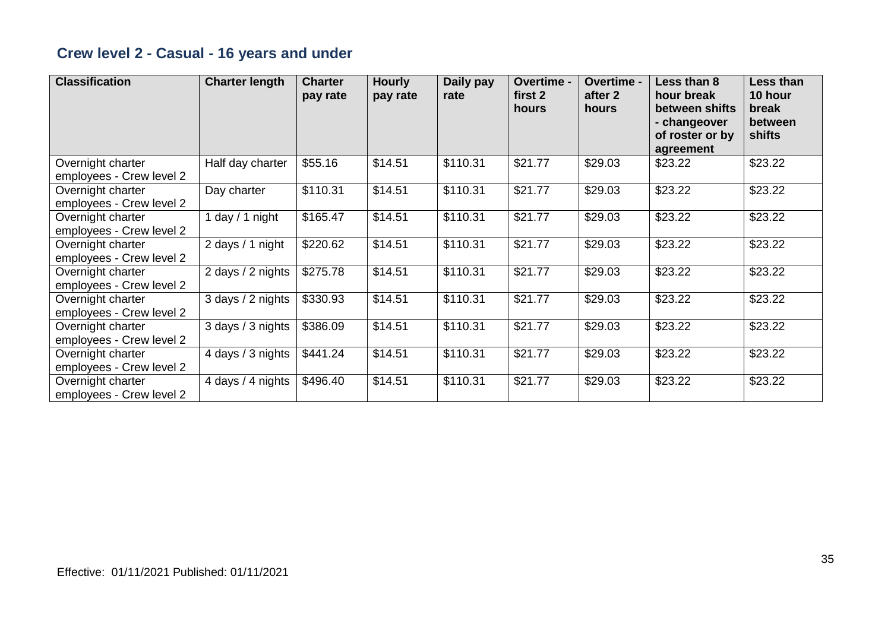## **Crew level 2 - Casual - 16 years and under**

| <b>Classification</b>                         | <b>Charter length</b> | <b>Charter</b><br>pay rate | <b>Hourly</b><br>pay rate | Daily pay<br>rate | Overtime -<br>first 2<br>hours | Overtime -<br>after 2<br>hours | Less than 8<br>hour break<br>between shifts<br>- changeover<br>of roster or by<br>agreement | Less than<br>10 hour<br>break<br>between<br>shifts |
|-----------------------------------------------|-----------------------|----------------------------|---------------------------|-------------------|--------------------------------|--------------------------------|---------------------------------------------------------------------------------------------|----------------------------------------------------|
| Overnight charter<br>employees - Crew level 2 | Half day charter      | \$55.16                    | \$14.51                   | \$110.31          | \$21.77                        | \$29.03                        | \$23.22                                                                                     | \$23.22                                            |
| Overnight charter<br>employees - Crew level 2 | Day charter           | \$110.31                   | \$14.51                   | \$110.31          | \$21.77                        | \$29.03                        | \$23.22                                                                                     | \$23.22                                            |
| Overnight charter<br>employees - Crew level 2 | 1 day $/$ 1 night     | \$165.47                   | \$14.51                   | \$110.31          | \$21.77                        | \$29.03                        | \$23.22                                                                                     | \$23.22                                            |
| Overnight charter<br>employees - Crew level 2 | 2 days / 1 night      | \$220.62                   | \$14.51                   | \$110.31          | \$21.77                        | \$29.03                        | \$23.22                                                                                     | \$23.22                                            |
| Overnight charter<br>employees - Crew level 2 | 2 days / 2 nights     | \$275.78                   | \$14.51                   | \$110.31          | \$21.77                        | \$29.03                        | \$23.22                                                                                     | \$23.22                                            |
| Overnight charter<br>employees - Crew level 2 | 3 days / 2 nights     | \$330.93                   | \$14.51                   | \$110.31          | \$21.77                        | \$29.03                        | \$23.22                                                                                     | \$23.22                                            |
| Overnight charter<br>employees - Crew level 2 | 3 days / 3 nights     | \$386.09                   | \$14.51                   | \$110.31          | \$21.77                        | \$29.03                        | \$23.22                                                                                     | \$23.22                                            |
| Overnight charter<br>employees - Crew level 2 | 4 days / 3 nights     | \$441.24                   | \$14.51                   | \$110.31          | \$21.77                        | \$29.03                        | \$23.22                                                                                     | \$23.22                                            |
| Overnight charter<br>employees - Crew level 2 | 4 days / 4 nights     | \$496.40                   | \$14.51                   | \$110.31          | \$21.77                        | \$29.03                        | \$23.22                                                                                     | \$23.22                                            |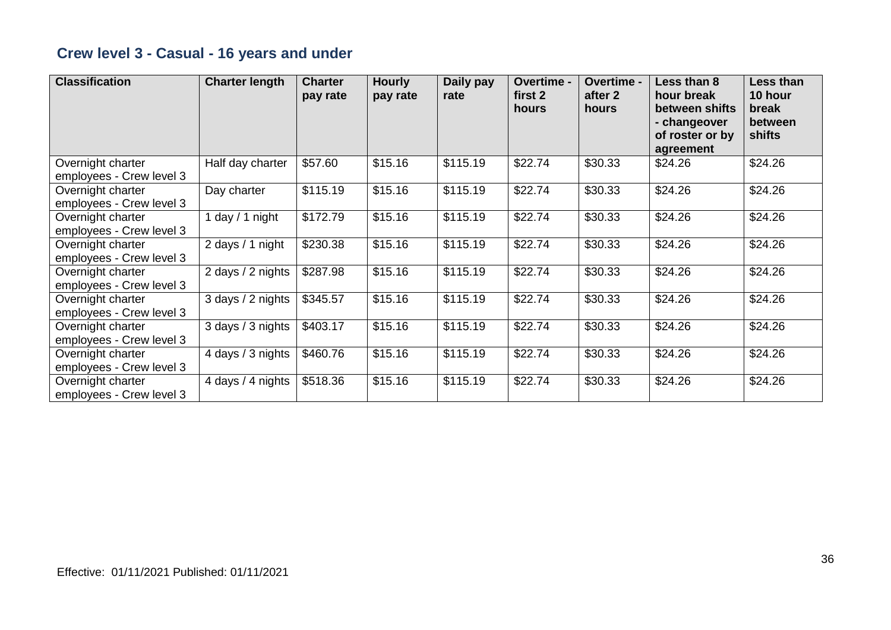## **Crew level 3 - Casual - 16 years and under**

| <b>Classification</b>                         | <b>Charter length</b> | <b>Charter</b><br>pay rate | <b>Hourly</b><br>pay rate | Daily pay<br>rate | Overtime -<br>first 2<br>hours | Overtime -<br>after 2<br>hours | Less than 8<br>hour break<br>between shifts<br>- changeover<br>of roster or by<br>agreement | Less than<br>10 hour<br>break<br>between<br>shifts |
|-----------------------------------------------|-----------------------|----------------------------|---------------------------|-------------------|--------------------------------|--------------------------------|---------------------------------------------------------------------------------------------|----------------------------------------------------|
| Overnight charter<br>employees - Crew level 3 | Half day charter      | \$57.60                    | \$15.16                   | \$115.19          | \$22.74                        | \$30.33                        | \$24.26                                                                                     | \$24.26                                            |
| Overnight charter<br>employees - Crew level 3 | Day charter           | \$115.19                   | \$15.16                   | \$115.19          | \$22.74                        | \$30.33                        | \$24.26                                                                                     | \$24.26                                            |
| Overnight charter<br>employees - Crew level 3 | 1 day $/$ 1 night     | \$172.79                   | \$15.16                   | \$115.19          | \$22.74                        | \$30.33                        | \$24.26                                                                                     | \$24.26                                            |
| Overnight charter<br>employees - Crew level 3 | 2 days / 1 night      | \$230.38                   | \$15.16                   | \$115.19          | \$22.74                        | \$30.33                        | \$24.26                                                                                     | \$24.26                                            |
| Overnight charter<br>employees - Crew level 3 | 2 days / 2 nights     | \$287.98                   | \$15.16                   | \$115.19          | \$22.74                        | \$30.33                        | \$24.26                                                                                     | \$24.26                                            |
| Overnight charter<br>employees - Crew level 3 | 3 days / 2 nights     | \$345.57                   | \$15.16                   | \$115.19          | \$22.74                        | \$30.33                        | \$24.26                                                                                     | \$24.26                                            |
| Overnight charter<br>employees - Crew level 3 | 3 days / 3 nights     | \$403.17                   | \$15.16                   | \$115.19          | \$22.74                        | \$30.33                        | \$24.26                                                                                     | \$24.26                                            |
| Overnight charter<br>employees - Crew level 3 | 4 days / 3 nights     | \$460.76                   | \$15.16                   | \$115.19          | \$22.74                        | \$30.33                        | \$24.26                                                                                     | \$24.26                                            |
| Overnight charter<br>employees - Crew level 3 | 4 days / 4 nights     | \$518.36                   | \$15.16                   | \$115.19          | \$22.74                        | \$30.33                        | \$24.26                                                                                     | \$24.26                                            |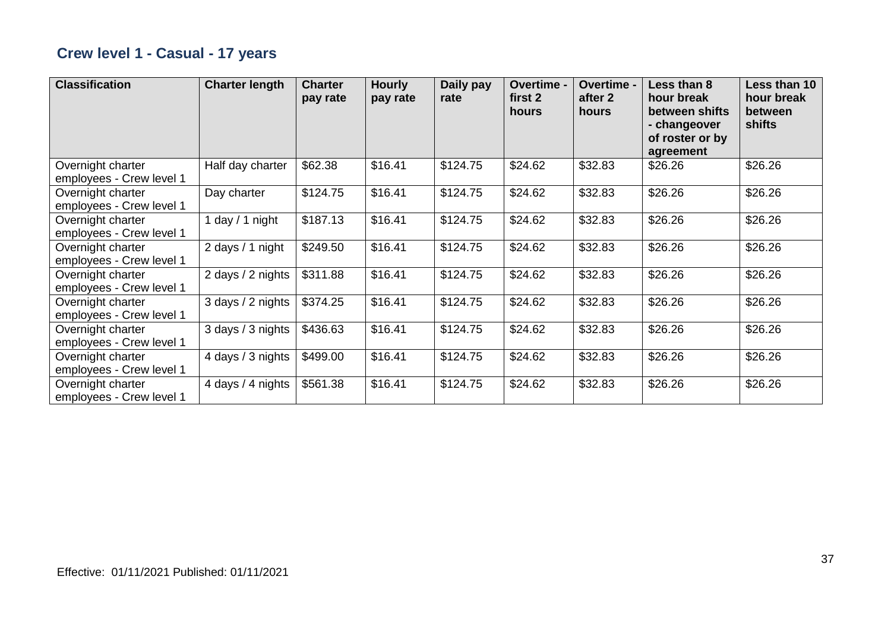## **Crew level 1 - Casual - 17 years**

| <b>Classification</b>                         | <b>Charter length</b> | <b>Charter</b><br>pay rate | <b>Hourly</b><br>pay rate | Daily pay<br>rate | Overtime -<br>first 2<br>hours | Overtime -<br>after 2<br>hours | Less than 8<br>hour break<br>between shifts<br>- changeover<br>of roster or by<br>agreement | Less than 10<br>hour break<br>between<br>shifts |
|-----------------------------------------------|-----------------------|----------------------------|---------------------------|-------------------|--------------------------------|--------------------------------|---------------------------------------------------------------------------------------------|-------------------------------------------------|
| Overnight charter<br>employees - Crew level 1 | Half day charter      | \$62.38                    | \$16.41                   | \$124.75          | \$24.62                        | \$32.83                        | \$26.26                                                                                     | \$26.26                                         |
| Overnight charter<br>employees - Crew level 1 | Day charter           | \$124.75                   | \$16.41                   | \$124.75          | \$24.62                        | \$32.83                        | \$26.26                                                                                     | \$26.26                                         |
| Overnight charter<br>employees - Crew level 1 | day / 1 night         | \$187.13                   | \$16.41                   | \$124.75          | \$24.62                        | \$32.83                        | \$26.26                                                                                     | \$26.26                                         |
| Overnight charter<br>employees - Crew level 1 | 2 days / 1 night      | \$249.50                   | \$16.41                   | \$124.75          | \$24.62                        | \$32.83                        | \$26.26                                                                                     | \$26.26                                         |
| Overnight charter<br>employees - Crew level 1 | 2 days / 2 nights     | \$311.88                   | \$16.41                   | \$124.75          | \$24.62                        | \$32.83                        | \$26.26                                                                                     | \$26.26                                         |
| Overnight charter<br>employees - Crew level 1 | 3 days / 2 nights     | \$374.25                   | \$16.41                   | \$124.75          | \$24.62                        | \$32.83                        | \$26.26                                                                                     | \$26.26                                         |
| Overnight charter<br>employees - Crew level 1 | 3 days / 3 nights     | \$436.63                   | \$16.41                   | \$124.75          | \$24.62                        | \$32.83                        | \$26.26                                                                                     | \$26.26                                         |
| Overnight charter<br>employees - Crew level 1 | 4 days / 3 nights     | \$499.00                   | \$16.41                   | \$124.75          | \$24.62                        | \$32.83                        | \$26.26                                                                                     | \$26.26                                         |
| Overnight charter<br>employees - Crew level 1 | 4 days / 4 nights     | \$561.38                   | \$16.41                   | \$124.75          | \$24.62                        | \$32.83                        | \$26.26                                                                                     | \$26.26                                         |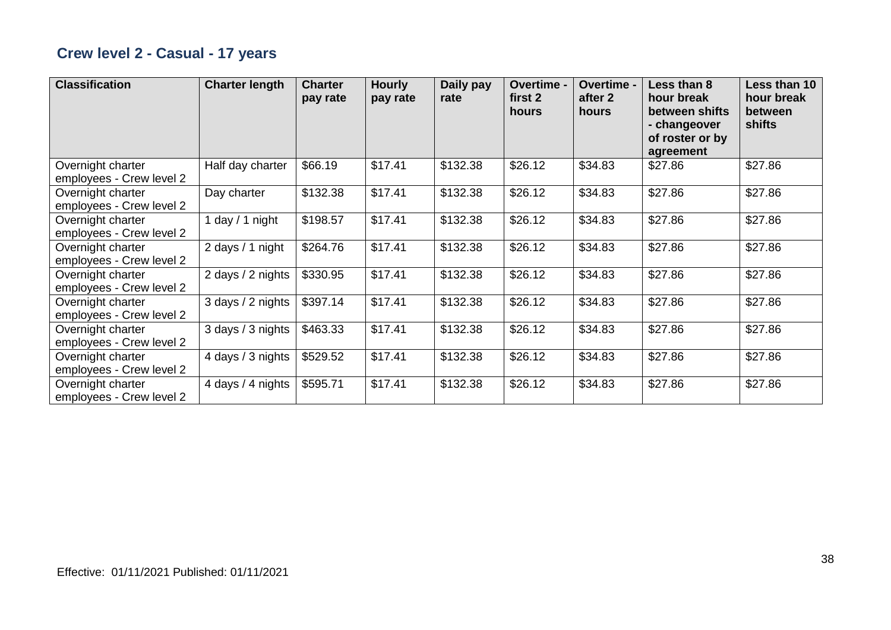## **Crew level 2 - Casual - 17 years**

| <b>Classification</b>                         | <b>Charter length</b> | <b>Charter</b><br>pay rate | <b>Hourly</b><br>pay rate | Daily pay<br>rate | Overtime -<br>first 2<br>hours | Overtime -<br>after 2<br>hours | Less than 8<br>hour break<br>between shifts<br>- changeover<br>of roster or by<br>agreement | Less than 10<br>hour break<br>between<br>shifts |
|-----------------------------------------------|-----------------------|----------------------------|---------------------------|-------------------|--------------------------------|--------------------------------|---------------------------------------------------------------------------------------------|-------------------------------------------------|
| Overnight charter<br>employees - Crew level 2 | Half day charter      | \$66.19                    | \$17.41                   | \$132.38          | \$26.12                        | \$34.83                        | \$27.86                                                                                     | \$27.86                                         |
| Overnight charter<br>employees - Crew level 2 | Day charter           | \$132.38                   | \$17.41                   | \$132.38          | \$26.12                        | \$34.83                        | \$27.86                                                                                     | \$27.86                                         |
| Overnight charter<br>employees - Crew level 2 | l day / 1 night       | \$198.57                   | \$17.41                   | \$132.38          | \$26.12                        | \$34.83                        | \$27.86                                                                                     | \$27.86                                         |
| Overnight charter<br>employees - Crew level 2 | 2 days / 1 night      | \$264.76                   | \$17.41                   | \$132.38          | \$26.12                        | \$34.83                        | \$27.86                                                                                     | \$27.86                                         |
| Overnight charter<br>employees - Crew level 2 | 2 days / 2 nights     | \$330.95                   | \$17.41                   | \$132.38          | \$26.12                        | \$34.83                        | \$27.86                                                                                     | \$27.86                                         |
| Overnight charter<br>employees - Crew level 2 | 3 days / 2 nights     | \$397.14                   | \$17.41                   | \$132.38          | \$26.12                        | \$34.83                        | \$27.86                                                                                     | \$27.86                                         |
| Overnight charter<br>employees - Crew level 2 | 3 days / 3 nights     | \$463.33                   | \$17.41                   | \$132.38          | \$26.12                        | \$34.83                        | \$27.86                                                                                     | \$27.86                                         |
| Overnight charter<br>employees - Crew level 2 | 4 days / 3 nights     | \$529.52                   | \$17.41                   | \$132.38          | \$26.12                        | \$34.83                        | \$27.86                                                                                     | \$27.86                                         |
| Overnight charter<br>employees - Crew level 2 | 4 days / 4 nights     | \$595.71                   | \$17.41                   | \$132.38          | \$26.12                        | \$34.83                        | \$27.86                                                                                     | \$27.86                                         |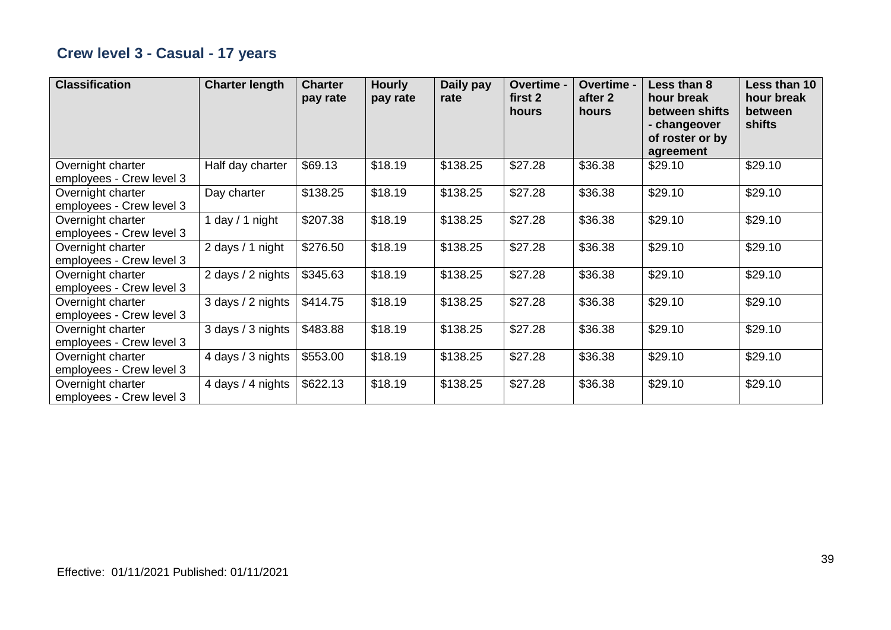## **Crew level 3 - Casual - 17 years**

| <b>Classification</b>                         | <b>Charter length</b> | <b>Charter</b><br>pay rate | <b>Hourly</b><br>pay rate | Daily pay<br>rate | Overtime -<br>first 2<br>hours | Overtime -<br>after 2<br>hours | Less than 8<br>hour break<br>between shifts<br>- changeover<br>of roster or by<br>agreement | Less than 10<br>hour break<br>between<br>shifts |
|-----------------------------------------------|-----------------------|----------------------------|---------------------------|-------------------|--------------------------------|--------------------------------|---------------------------------------------------------------------------------------------|-------------------------------------------------|
| Overnight charter<br>employees - Crew level 3 | Half day charter      | \$69.13                    | \$18.19                   | \$138.25          | \$27.28                        | \$36.38                        | \$29.10                                                                                     | \$29.10                                         |
| Overnight charter<br>employees - Crew level 3 | Day charter           | \$138.25                   | \$18.19                   | \$138.25          | \$27.28                        | \$36.38                        | \$29.10                                                                                     | \$29.10                                         |
| Overnight charter<br>employees - Crew level 3 | day / 1 night         | \$207.38                   | \$18.19                   | \$138.25          | \$27.28                        | \$36.38                        | \$29.10                                                                                     | \$29.10                                         |
| Overnight charter<br>employees - Crew level 3 | 2 days / 1 night      | \$276.50                   | \$18.19                   | \$138.25          | \$27.28                        | \$36.38                        | \$29.10                                                                                     | \$29.10                                         |
| Overnight charter<br>employees - Crew level 3 | 2 days / 2 nights     | \$345.63                   | \$18.19                   | \$138.25          | \$27.28                        | \$36.38                        | \$29.10                                                                                     | \$29.10                                         |
| Overnight charter<br>employees - Crew level 3 | 3 days / 2 nights     | \$414.75                   | \$18.19                   | \$138.25          | \$27.28                        | \$36.38                        | \$29.10                                                                                     | \$29.10                                         |
| Overnight charter<br>employees - Crew level 3 | 3 days / 3 nights     | \$483.88                   | \$18.19                   | \$138.25          | \$27.28                        | \$36.38                        | \$29.10                                                                                     | \$29.10                                         |
| Overnight charter<br>employees - Crew level 3 | 4 days / 3 nights     | \$553.00                   | \$18.19                   | \$138.25          | \$27.28                        | \$36.38                        | \$29.10                                                                                     | \$29.10                                         |
| Overnight charter<br>employees - Crew level 3 | 4 days / 4 nights     | \$622.13                   | \$18.19                   | \$138.25          | \$27.28                        | \$36.38                        | \$29.10                                                                                     | \$29.10                                         |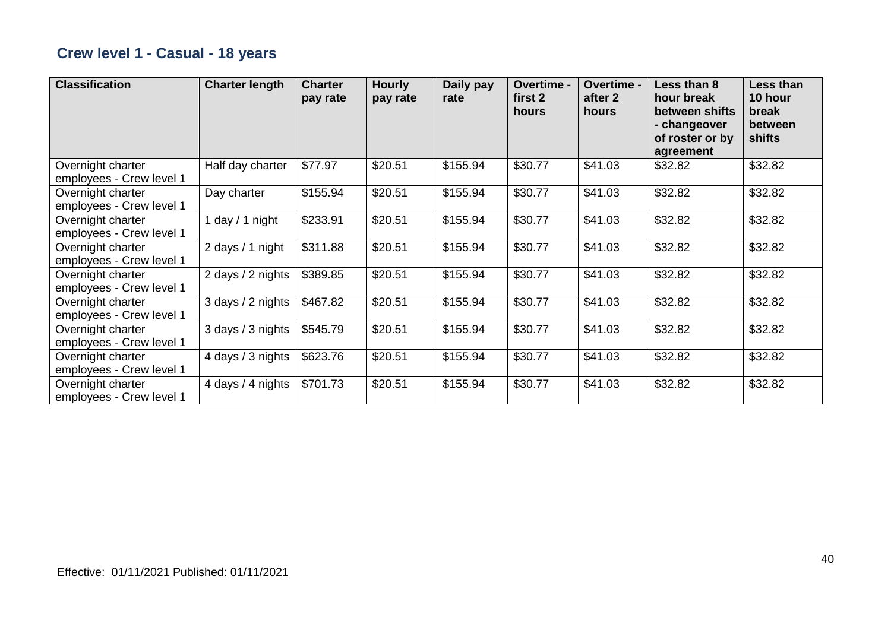## **Crew level 1 - Casual - 18 years**

| <b>Classification</b>                         | <b>Charter length</b> | <b>Charter</b><br>pay rate | <b>Hourly</b><br>pay rate | Daily pay<br>rate | Overtime -<br>first 2<br>hours | <b>Overtime -</b><br>after 2<br>hours | Less than 8<br>hour break<br>between shifts<br>- changeover<br>of roster or by<br>agreement | Less than<br>10 hour<br>break<br>between<br>shifts |
|-----------------------------------------------|-----------------------|----------------------------|---------------------------|-------------------|--------------------------------|---------------------------------------|---------------------------------------------------------------------------------------------|----------------------------------------------------|
| Overnight charter<br>employees - Crew level 1 | Half day charter      | \$77.97                    | \$20.51                   | \$155.94          | \$30.77                        | \$41.03                               | \$32.82                                                                                     | \$32.82                                            |
| Overnight charter<br>employees - Crew level 1 | Day charter           | \$155.94                   | \$20.51                   | \$155.94          | \$30.77                        | \$41.03                               | \$32.82                                                                                     | \$32.82                                            |
| Overnight charter<br>employees - Crew level 1 | 1 day / 1 night       | \$233.91                   | \$20.51                   | \$155.94          | \$30.77                        | \$41.03                               | \$32.82                                                                                     | \$32.82                                            |
| Overnight charter<br>employees - Crew level 1 | 2 days / 1 night      | \$311.88                   | \$20.51                   | \$155.94          | \$30.77                        | \$41.03                               | \$32.82                                                                                     | \$32.82                                            |
| Overnight charter<br>employees - Crew level 1 | 2 days / 2 nights     | \$389.85                   | \$20.51                   | \$155.94          | \$30.77                        | \$41.03                               | \$32.82                                                                                     | \$32.82                                            |
| Overnight charter<br>employees - Crew level 1 | 3 days / 2 nights     | \$467.82                   | \$20.51                   | \$155.94          | \$30.77                        | \$41.03                               | \$32.82                                                                                     | \$32.82                                            |
| Overnight charter<br>employees - Crew level 1 | 3 days / 3 nights     | \$545.79                   | \$20.51                   | \$155.94          | \$30.77                        | \$41.03                               | \$32.82                                                                                     | \$32.82                                            |
| Overnight charter<br>employees - Crew level 1 | 4 days / 3 nights     | \$623.76                   | \$20.51                   | \$155.94          | \$30.77                        | \$41.03                               | \$32.82                                                                                     | \$32.82                                            |
| Overnight charter<br>employees - Crew level 1 | 4 days / 4 nights     | \$701.73                   | \$20.51                   | \$155.94          | \$30.77                        | \$41.03                               | \$32.82                                                                                     | \$32.82                                            |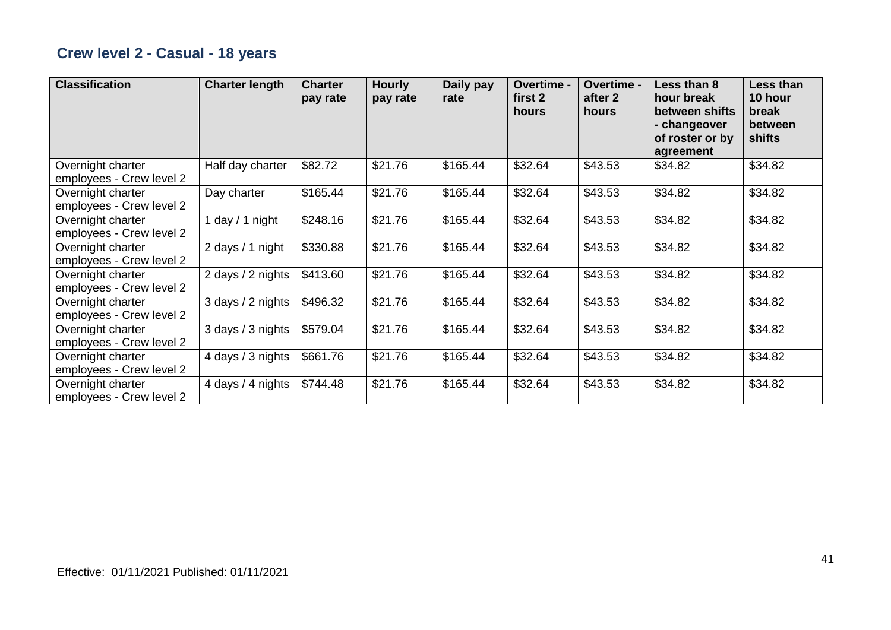## **Crew level 2 - Casual - 18 years**

| <b>Classification</b>                         | <b>Charter length</b> | <b>Charter</b><br>pay rate | <b>Hourly</b><br>pay rate | Daily pay<br>rate | Overtime -<br>first 2<br>hours | Overtime -<br>after 2<br>hours | Less than 8<br>hour break<br>between shifts<br>- changeover<br>of roster or by<br>agreement | Less than<br>10 hour<br>break<br>between<br>shifts |
|-----------------------------------------------|-----------------------|----------------------------|---------------------------|-------------------|--------------------------------|--------------------------------|---------------------------------------------------------------------------------------------|----------------------------------------------------|
| Overnight charter<br>employees - Crew level 2 | Half day charter      | \$82.72                    | \$21.76                   | \$165.44          | \$32.64                        | \$43.53                        | \$34.82                                                                                     | \$34.82                                            |
| Overnight charter<br>employees - Crew level 2 | Day charter           | \$165.44                   | \$21.76                   | \$165.44          | \$32.64                        | \$43.53                        | \$34.82                                                                                     | \$34.82                                            |
| Overnight charter<br>employees - Crew level 2 | 1 day / 1 night       | \$248.16                   | \$21.76                   | \$165.44          | \$32.64                        | \$43.53                        | \$34.82                                                                                     | \$34.82                                            |
| Overnight charter<br>employees - Crew level 2 | 2 days / 1 night      | \$330.88                   | \$21.76                   | \$165.44          | \$32.64                        | \$43.53                        | \$34.82                                                                                     | \$34.82                                            |
| Overnight charter<br>employees - Crew level 2 | 2 days / 2 nights     | \$413.60                   | \$21.76                   | \$165.44          | \$32.64                        | \$43.53                        | \$34.82                                                                                     | \$34.82                                            |
| Overnight charter<br>employees - Crew level 2 | 3 days / 2 nights     | \$496.32                   | \$21.76                   | \$165.44          | \$32.64                        | \$43.53                        | \$34.82                                                                                     | \$34.82                                            |
| Overnight charter<br>employees - Crew level 2 | 3 days / 3 nights     | \$579.04                   | \$21.76                   | \$165.44          | \$32.64                        | \$43.53                        | \$34.82                                                                                     | \$34.82                                            |
| Overnight charter<br>employees - Crew level 2 | 4 days / 3 nights     | \$661.76                   | \$21.76                   | \$165.44          | \$32.64                        | \$43.53                        | \$34.82                                                                                     | \$34.82                                            |
| Overnight charter<br>employees - Crew level 2 | 4 days / 4 nights     | \$744.48                   | \$21.76                   | \$165.44          | \$32.64                        | \$43.53                        | \$34.82                                                                                     | \$34.82                                            |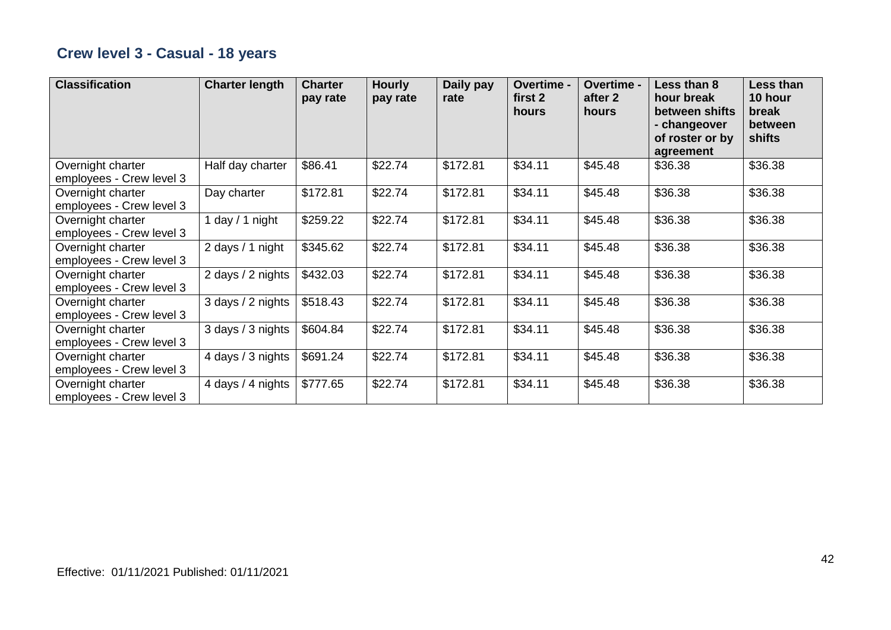## **Crew level 3 - Casual - 18 years**

| <b>Classification</b>                         | <b>Charter length</b> | <b>Charter</b><br>pay rate | <b>Hourly</b><br>pay rate | Daily pay<br>rate | Overtime -<br>first 2<br>hours | <b>Overtime -</b><br>after 2<br>hours | Less than 8<br>hour break<br>between shifts<br>- changeover<br>of roster or by<br>agreement | Less than<br>10 hour<br>break<br>between<br>shifts |
|-----------------------------------------------|-----------------------|----------------------------|---------------------------|-------------------|--------------------------------|---------------------------------------|---------------------------------------------------------------------------------------------|----------------------------------------------------|
| Overnight charter<br>employees - Crew level 3 | Half day charter      | \$86.41                    | \$22.74                   | \$172.81          | \$34.11                        | \$45.48                               | \$36.38                                                                                     | \$36.38                                            |
| Overnight charter<br>employees - Crew level 3 | Day charter           | \$172.81                   | \$22.74                   | \$172.81          | \$34.11                        | \$45.48                               | \$36.38                                                                                     | \$36.38                                            |
| Overnight charter<br>employees - Crew level 3 | 1 day $/$ 1 night     | \$259.22                   | \$22.74                   | \$172.81          | \$34.11                        | \$45.48                               | \$36.38                                                                                     | \$36.38                                            |
| Overnight charter<br>employees - Crew level 3 | 2 days / 1 night      | \$345.62                   | \$22.74                   | \$172.81          | \$34.11                        | \$45.48                               | \$36.38                                                                                     | \$36.38                                            |
| Overnight charter<br>employees - Crew level 3 | 2 days / 2 nights     | \$432.03                   | \$22.74                   | \$172.81          | \$34.11                        | \$45.48                               | \$36.38                                                                                     | \$36.38                                            |
| Overnight charter<br>employees - Crew level 3 | 3 days / 2 nights     | \$518.43                   | \$22.74                   | \$172.81          | \$34.11                        | \$45.48                               | \$36.38                                                                                     | \$36.38                                            |
| Overnight charter<br>employees - Crew level 3 | 3 days / 3 nights     | \$604.84                   | \$22.74                   | \$172.81          | \$34.11                        | \$45.48                               | \$36.38                                                                                     | \$36.38                                            |
| Overnight charter<br>employees - Crew level 3 | 4 days / 3 nights     | \$691.24                   | \$22.74                   | \$172.81          | \$34.11                        | \$45.48                               | \$36.38                                                                                     | \$36.38                                            |
| Overnight charter<br>employees - Crew level 3 | 4 days / 4 nights     | \$777.65                   | \$22.74                   | \$172.81          | \$34.11                        | \$45.48                               | \$36.38                                                                                     | \$36.38                                            |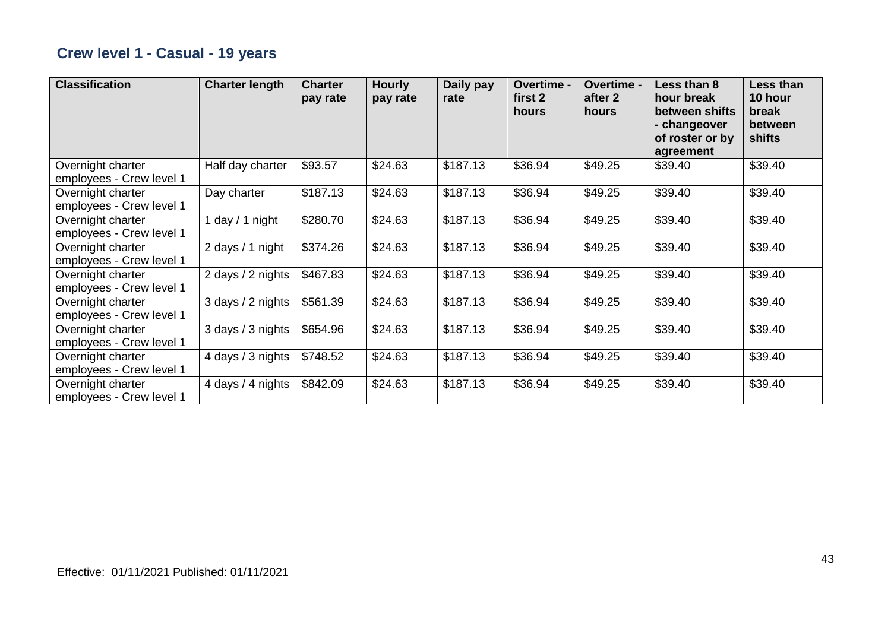## **Crew level 1 - Casual - 19 years**

| <b>Classification</b>                         | <b>Charter length</b> | <b>Charter</b><br>pay rate | <b>Hourly</b><br>pay rate | Daily pay<br>rate | Overtime -<br>first 2<br>hours | Overtime -<br>after 2<br>hours | Less than 8<br>hour break<br>between shifts<br>- changeover<br>of roster or by<br>agreement | Less than<br>10 hour<br>break<br>between<br>shifts |
|-----------------------------------------------|-----------------------|----------------------------|---------------------------|-------------------|--------------------------------|--------------------------------|---------------------------------------------------------------------------------------------|----------------------------------------------------|
| Overnight charter<br>employees - Crew level 1 | Half day charter      | \$93.57                    | \$24.63                   | \$187.13          | \$36.94                        | \$49.25                        | \$39.40                                                                                     | \$39.40                                            |
| Overnight charter<br>employees - Crew level 1 | Day charter           | \$187.13                   | \$24.63                   | \$187.13          | \$36.94                        | \$49.25                        | \$39.40                                                                                     | \$39.40                                            |
| Overnight charter<br>employees - Crew level 1 | 1 day $/$ 1 night     | \$280.70                   | \$24.63                   | \$187.13          | \$36.94                        | \$49.25                        | \$39.40                                                                                     | \$39.40                                            |
| Overnight charter<br>employees - Crew level 1 | 2 days / 1 night      | \$374.26                   | \$24.63                   | \$187.13          | \$36.94                        | \$49.25                        | \$39.40                                                                                     | \$39.40                                            |
| Overnight charter<br>employees - Crew level 1 | 2 days / 2 nights     | \$467.83                   | \$24.63                   | \$187.13          | \$36.94                        | \$49.25                        | \$39.40                                                                                     | \$39.40                                            |
| Overnight charter<br>employees - Crew level 1 | 3 days / 2 nights     | \$561.39                   | \$24.63                   | \$187.13          | \$36.94                        | \$49.25                        | \$39.40                                                                                     | \$39.40                                            |
| Overnight charter<br>employees - Crew level 1 | 3 days / 3 nights     | \$654.96                   | \$24.63                   | \$187.13          | \$36.94                        | \$49.25                        | \$39.40                                                                                     | \$39.40                                            |
| Overnight charter<br>employees - Crew level 1 | 4 days / 3 nights     | \$748.52                   | \$24.63                   | \$187.13          | \$36.94                        | \$49.25                        | \$39.40                                                                                     | \$39.40                                            |
| Overnight charter<br>employees - Crew level 1 | 4 days / 4 nights     | \$842.09                   | \$24.63                   | \$187.13          | \$36.94                        | \$49.25                        | \$39.40                                                                                     | \$39.40                                            |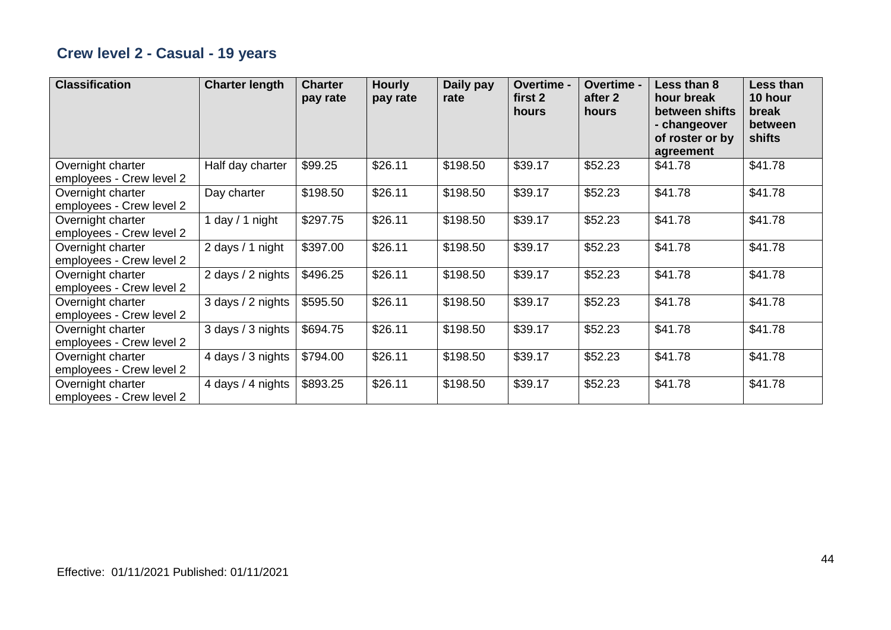## **Crew level 2 - Casual - 19 years**

| <b>Classification</b>                         | <b>Charter length</b> | <b>Charter</b><br>pay rate | <b>Hourly</b><br>pay rate | Daily pay<br>rate | Overtime -<br>first 2<br>hours | Overtime -<br>after 2<br>hours | Less than 8<br>hour break<br>between shifts<br>- changeover<br>of roster or by<br>agreement | Less than<br>10 hour<br>break<br>between<br>shifts |
|-----------------------------------------------|-----------------------|----------------------------|---------------------------|-------------------|--------------------------------|--------------------------------|---------------------------------------------------------------------------------------------|----------------------------------------------------|
| Overnight charter<br>employees - Crew level 2 | Half day charter      | \$99.25                    | \$26.11                   | \$198.50          | \$39.17                        | \$52.23                        | \$41.78                                                                                     | \$41.78                                            |
| Overnight charter<br>employees - Crew level 2 | Day charter           | \$198.50                   | \$26.11                   | \$198.50          | \$39.17                        | \$52.23                        | \$41.78                                                                                     | \$41.78                                            |
| Overnight charter<br>employees - Crew level 2 | 1 day $/$ 1 night     | \$297.75                   | \$26.11                   | \$198.50          | \$39.17                        | \$52.23                        | \$41.78                                                                                     | \$41.78                                            |
| Overnight charter<br>employees - Crew level 2 | 2 days / 1 night      | \$397.00                   | \$26.11                   | \$198.50          | \$39.17                        | \$52.23                        | \$41.78                                                                                     | \$41.78                                            |
| Overnight charter<br>employees - Crew level 2 | 2 days / 2 nights     | \$496.25                   | \$26.11                   | \$198.50          | \$39.17                        | \$52.23                        | \$41.78                                                                                     | \$41.78                                            |
| Overnight charter<br>employees - Crew level 2 | 3 days / 2 nights     | \$595.50                   | \$26.11                   | \$198.50          | \$39.17                        | \$52.23                        | \$41.78                                                                                     | \$41.78                                            |
| Overnight charter<br>employees - Crew level 2 | 3 days / 3 nights     | \$694.75                   | \$26.11                   | \$198.50          | \$39.17                        | \$52.23                        | \$41.78                                                                                     | \$41.78                                            |
| Overnight charter<br>employees - Crew level 2 | 4 days / 3 nights     | \$794.00                   | \$26.11                   | \$198.50          | \$39.17                        | \$52.23                        | \$41.78                                                                                     | \$41.78                                            |
| Overnight charter<br>employees - Crew level 2 | 4 days / 4 nights     | \$893.25                   | \$26.11                   | \$198.50          | \$39.17                        | \$52.23                        | \$41.78                                                                                     | \$41.78                                            |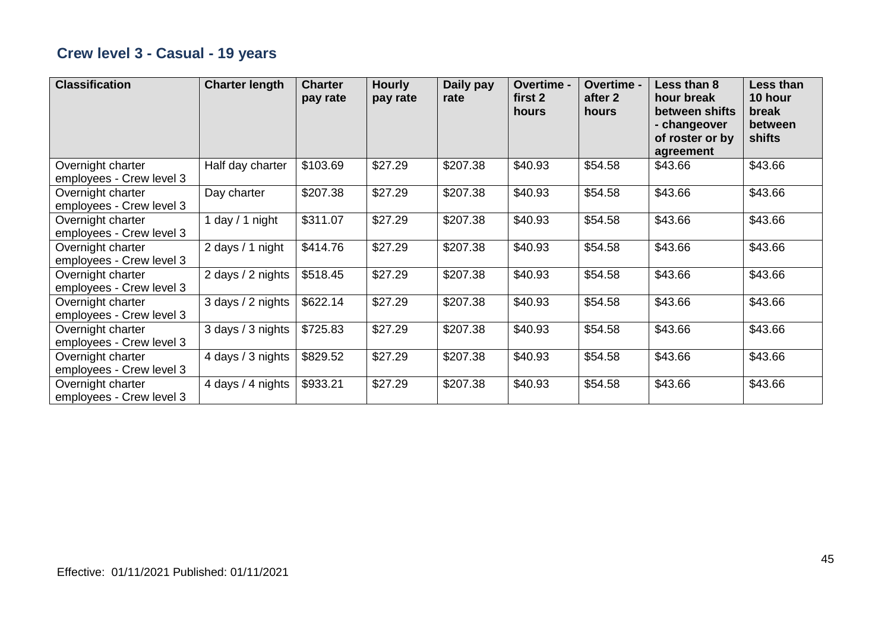## **Crew level 3 - Casual - 19 years**

| <b>Classification</b>                         | <b>Charter length</b> | <b>Charter</b><br>pay rate | <b>Hourly</b><br>pay rate | Daily pay<br>rate | Overtime -<br>first 2<br>hours | Overtime -<br>after 2<br>hours | Less than 8<br>hour break<br>between shifts<br>- changeover<br>of roster or by<br>agreement | Less than<br>10 hour<br>break<br>between<br>shifts |
|-----------------------------------------------|-----------------------|----------------------------|---------------------------|-------------------|--------------------------------|--------------------------------|---------------------------------------------------------------------------------------------|----------------------------------------------------|
| Overnight charter<br>employees - Crew level 3 | Half day charter      | \$103.69                   | \$27.29                   | \$207.38          | \$40.93                        | \$54.58                        | \$43.66                                                                                     | \$43.66                                            |
| Overnight charter<br>employees - Crew level 3 | Day charter           | \$207.38                   | \$27.29                   | \$207.38          | \$40.93                        | \$54.58                        | \$43.66                                                                                     | \$43.66                                            |
| Overnight charter<br>employees - Crew level 3 | 1 day $/$ 1 night     | \$311.07                   | \$27.29                   | \$207.38          | \$40.93                        | \$54.58                        | \$43.66                                                                                     | \$43.66                                            |
| Overnight charter<br>employees - Crew level 3 | 2 days / 1 night      | \$414.76                   | \$27.29                   | \$207.38          | \$40.93                        | \$54.58                        | \$43.66                                                                                     | \$43.66                                            |
| Overnight charter<br>employees - Crew level 3 | 2 days / 2 nights     | \$518.45                   | \$27.29                   | \$207.38          | \$40.93                        | \$54.58                        | \$43.66                                                                                     | \$43.66                                            |
| Overnight charter<br>employees - Crew level 3 | 3 days / 2 nights     | \$622.14                   | \$27.29                   | \$207.38          | \$40.93                        | \$54.58                        | \$43.66                                                                                     | \$43.66                                            |
| Overnight charter<br>employees - Crew level 3 | 3 days / 3 nights     | \$725.83                   | \$27.29                   | \$207.38          | \$40.93                        | \$54.58                        | \$43.66                                                                                     | \$43.66                                            |
| Overnight charter<br>employees - Crew level 3 | 4 days / 3 nights     | \$829.52                   | \$27.29                   | \$207.38          | \$40.93                        | \$54.58                        | \$43.66                                                                                     | \$43.66                                            |
| Overnight charter<br>employees - Crew level 3 | 4 days / 4 nights     | \$933.21                   | \$27.29                   | \$207.38          | \$40.93                        | \$54.58                        | \$43.66                                                                                     | \$43.66                                            |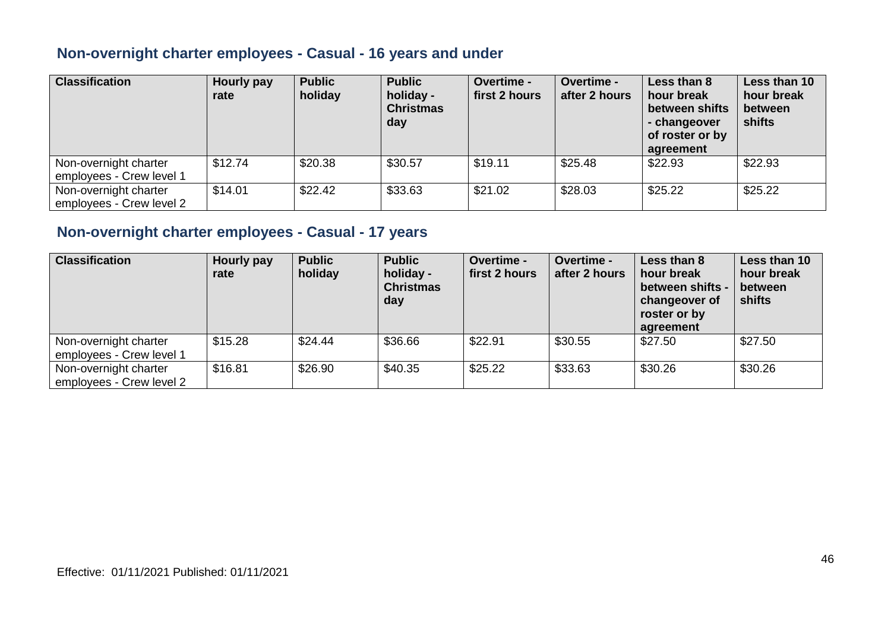#### **Non-overnight charter employees - Casual - 16 years and under**

| <b>Classification</b>                             | Hourly pay<br>rate | <b>Public</b><br>holiday | <b>Public</b><br>holiday -<br><b>Christmas</b><br>day | <b>Overtime -</b><br>first 2 hours | <b>Overtime -</b><br>after 2 hours | Less than 8<br>hour break<br>between shifts<br>- changeover<br>of roster or by<br>agreement | Less than 10<br>hour break<br>between<br>shifts |
|---------------------------------------------------|--------------------|--------------------------|-------------------------------------------------------|------------------------------------|------------------------------------|---------------------------------------------------------------------------------------------|-------------------------------------------------|
| Non-overnight charter<br>employees - Crew level 1 | \$12.74            | \$20.38                  | \$30.57                                               | \$19.11                            | \$25.48                            | \$22.93                                                                                     | \$22.93                                         |
| Non-overnight charter<br>employees - Crew level 2 | \$14.01            | \$22.42                  | \$33.63                                               | \$21.02                            | \$28.03                            | \$25.22                                                                                     | \$25.22                                         |

#### **Non-overnight charter employees - Casual - 17 years**

| <b>Classification</b>                             | Hourly pay<br>rate | <b>Public</b><br>holiday | <b>Public</b><br>holiday -<br><b>Christmas</b><br>day | Overtime -<br>first 2 hours | <b>Overtime -</b><br>after 2 hours | Less than 8<br>hour break<br>between shifts -<br>changeover of<br>roster or by<br>agreement | Less than 10<br>hour break<br>between<br>shifts |
|---------------------------------------------------|--------------------|--------------------------|-------------------------------------------------------|-----------------------------|------------------------------------|---------------------------------------------------------------------------------------------|-------------------------------------------------|
| Non-overnight charter<br>employees - Crew level 1 | \$15.28            | \$24.44                  | \$36.66                                               | \$22.91                     | \$30.55                            | \$27.50                                                                                     | \$27.50                                         |
| Non-overnight charter<br>employees - Crew level 2 | \$16.81            | \$26.90                  | \$40.35                                               | \$25.22                     | \$33.63                            | \$30.26                                                                                     | \$30.26                                         |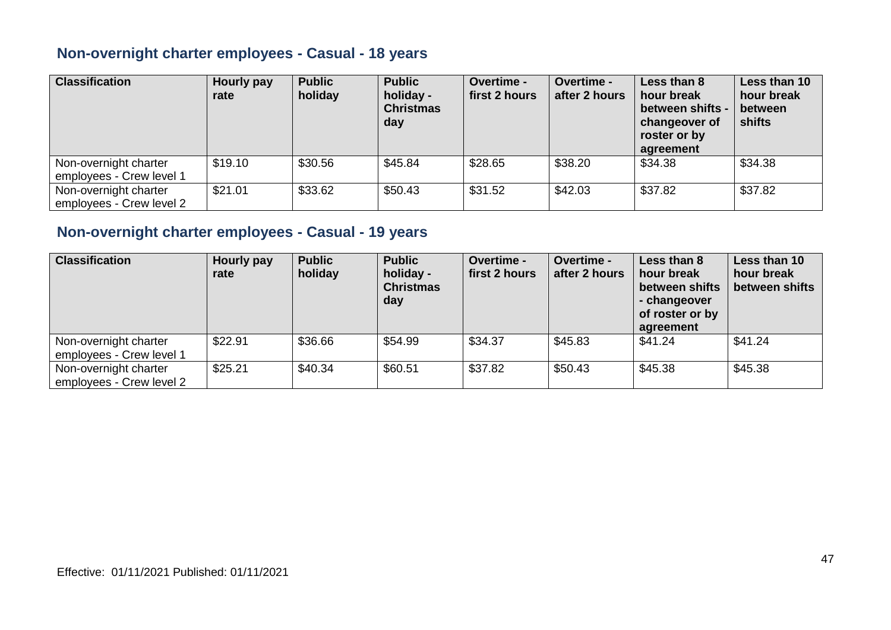#### **Non-overnight charter employees - Casual - 18 years**

| <b>Classification</b>                             | Hourly pay<br>rate | <b>Public</b><br>holiday | <b>Public</b><br>holiday -<br><b>Christmas</b><br>day | Overtime -<br>first 2 hours | <b>Overtime -</b><br>after 2 hours | Less than 8<br>hour break<br>between shifts -<br>changeover of<br>roster or by<br>agreement | Less than 10<br>hour break<br>between<br>shifts |
|---------------------------------------------------|--------------------|--------------------------|-------------------------------------------------------|-----------------------------|------------------------------------|---------------------------------------------------------------------------------------------|-------------------------------------------------|
| Non-overnight charter<br>employees - Crew level 1 | \$19.10            | \$30.56                  | \$45.84                                               | \$28.65                     | \$38.20                            | \$34.38                                                                                     | \$34.38                                         |
| Non-overnight charter<br>employees - Crew level 2 | \$21.01            | \$33.62                  | \$50.43                                               | \$31.52                     | \$42.03                            | \$37.82                                                                                     | \$37.82                                         |

#### **Non-overnight charter employees - Casual - 19 years**

| <b>Classification</b>                             | Hourly pay<br>rate | <b>Public</b><br>holiday | <b>Public</b><br>holiday -<br><b>Christmas</b><br>day | <b>Overtime -</b><br>first 2 hours | <b>Overtime -</b><br>after 2 hours | Less than 8<br>hour break<br>between shifts<br>- changeover<br>of roster or by<br>agreement | Less than 10<br>hour break<br>between shifts |
|---------------------------------------------------|--------------------|--------------------------|-------------------------------------------------------|------------------------------------|------------------------------------|---------------------------------------------------------------------------------------------|----------------------------------------------|
| Non-overnight charter<br>employees - Crew level 1 | \$22.91            | \$36.66                  | \$54.99                                               | \$34.37                            | \$45.83                            | \$41.24                                                                                     | \$41.24                                      |
| Non-overnight charter<br>employees - Crew level 2 | \$25.21            | \$40.34                  | \$60.51                                               | \$37.82                            | \$50.43                            | \$45.38                                                                                     | \$45.38                                      |